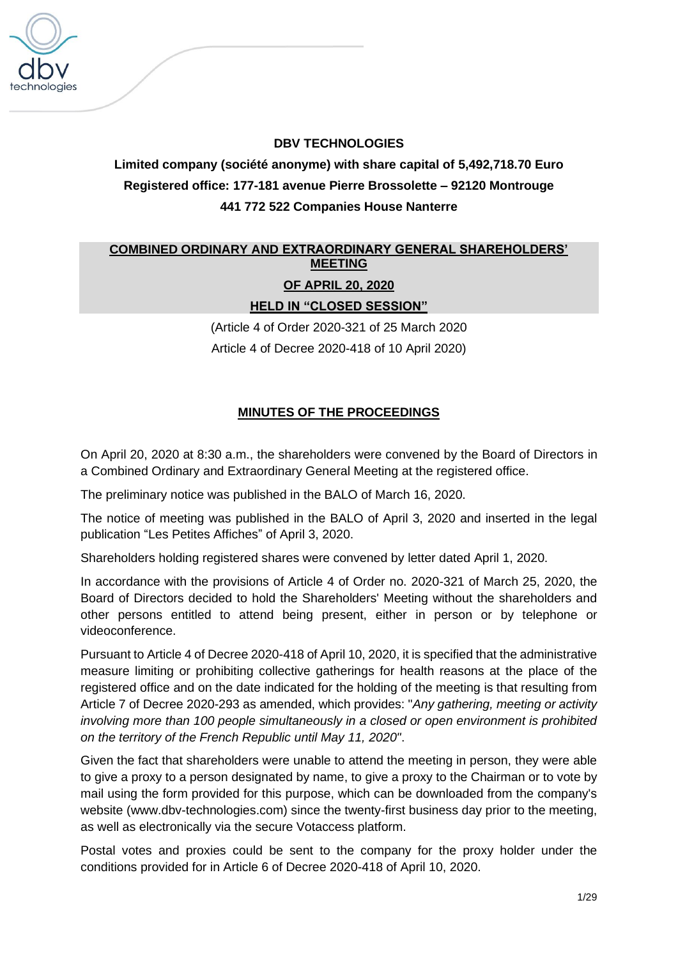

# **DBV TECHNOLOGIES**

**Limited company (société anonyme) with share capital of 5,492,718.70 Euro Registered office: 177-181 avenue Pierre Brossolette – 92120 Montrouge 441 772 522 Companies House Nanterre**

# **COMBINED ORDINARY AND EXTRAORDINARY GENERAL SHAREHOLDERS' MEETING**

## **OF APRIL 20, 2020**

**HELD IN "CLOSED SESSION"**

(Article 4 of Order 2020-321 of 25 March 2020 Article 4 of Decree 2020-418 of 10 April 2020)

# **MINUTES OF THE PROCEEDINGS**

On April 20, 2020 at 8:30 a.m., the shareholders were convened by the Board of Directors in a Combined Ordinary and Extraordinary General Meeting at the registered office.

The preliminary notice was published in the BALO of March 16, 2020.

The notice of meeting was published in the BALO of April 3, 2020 and inserted in the legal publication "Les Petites Affiches" of April 3, 2020.

Shareholders holding registered shares were convened by letter dated April 1, 2020.

In accordance with the provisions of Article 4 of Order no. 2020-321 of March 25, 2020, the Board of Directors decided to hold the Shareholders' Meeting without the shareholders and other persons entitled to attend being present, either in person or by telephone or videoconference.

Pursuant to Article 4 of Decree 2020-418 of April 10, 2020, it is specified that the administrative measure limiting or prohibiting collective gatherings for health reasons at the place of the registered office and on the date indicated for the holding of the meeting is that resulting from Article 7 of Decree 2020-293 as amended, which provides: "*Any gathering, meeting or activity involving more than 100 people simultaneously in a closed or open environment is prohibited on the territory of the French Republic until May 11, 2020"*.

Given the fact that shareholders were unable to attend the meeting in person, they were able to give a proxy to a person designated by name, to give a proxy to the Chairman or to vote by mail using the form provided for this purpose, which can be downloaded from the company's website (www.dbv-technologies.com) since the twenty-first business day prior to the meeting, as well as electronically via the secure Votaccess platform.

Postal votes and proxies could be sent to the company for the proxy holder under the conditions provided for in Article 6 of Decree 2020-418 of April 10, 2020.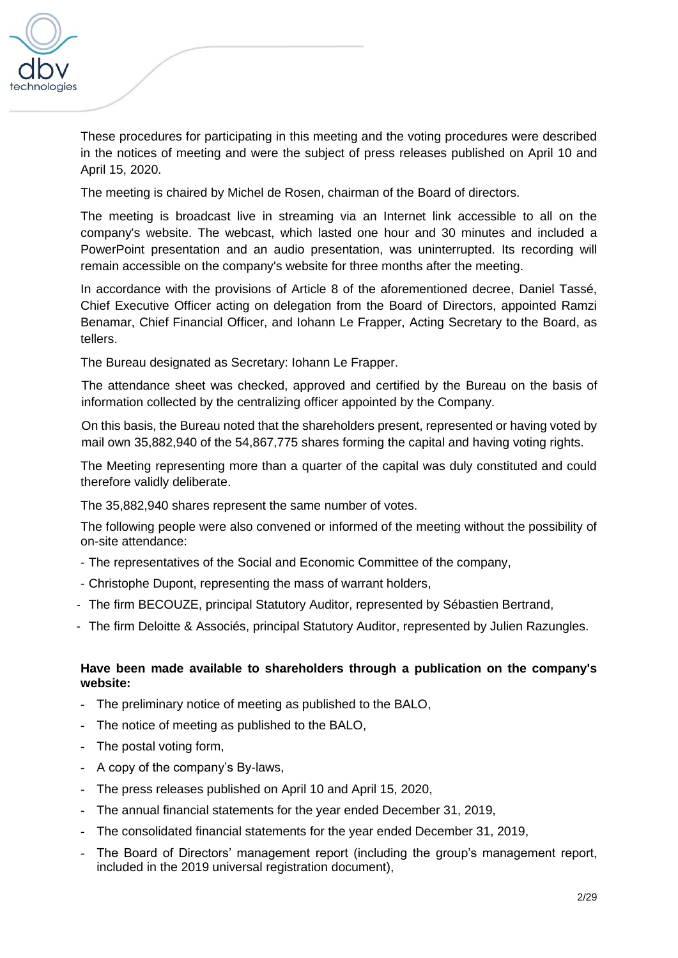

These procedures for participating in this meeting and the voting procedures were described in the notices of meeting and were the subject of press releases published on April 10 and April 15, 2020.

The meeting is chaired by Michel de Rosen, chairman of the Board of directors.

The meeting is broadcast live in streaming via an Internet link accessible to all on the company's website. The webcast, which lasted one hour and 30 minutes and included a PowerPoint presentation and an audio presentation, was uninterrupted. Its recording will remain accessible on the company's website for three months after the meeting.

In accordance with the provisions of Article 8 of the aforementioned decree, Daniel Tassé, Chief Executive Officer acting on delegation from the Board of Directors, appointed Ramzi Benamar, Chief Financial Officer, and Iohann Le Frapper, Acting Secretary to the Board, as tellers.

The Bureau designated as Secretary: Iohann Le Frapper.

The attendance sheet was checked, approved and certified by the Bureau on the basis of information collected by the centralizing officer appointed by the Company.

On this basis, the Bureau noted that the shareholders present, represented or having voted by mail own 35,882,940 of the 54,867,775 shares forming the capital and having voting rights.

The Meeting representing more than a quarter of the capital was duly constituted and could therefore validly deliberate.

The 35,882,940 shares represent the same number of votes.

The following people were also convened or informed of the meeting without the possibility of on-site attendance:

- The representatives of the Social and Economic Committee of the company,
- Christophe Dupont, representing the mass of warrant holders,
- The firm BECOUZE, principal Statutory Auditor, represented by Sébastien Bertrand,
- The firm Deloitte & Associés, principal Statutory Auditor, represented by Julien Razungles.

# **Have been made available to shareholders through a publication on the company's website:**

- The preliminary notice of meeting as published to the BALO,
- The notice of meeting as published to the BALO,
- The postal voting form,
- A copy of the company's By-laws,
- The press releases published on April 10 and April 15, 2020,
- The annual financial statements for the year ended December 31, 2019,
- The consolidated financial statements for the year ended December 31, 2019,
- The Board of Directors' management report (including the group's management report, included in the 2019 universal registration document),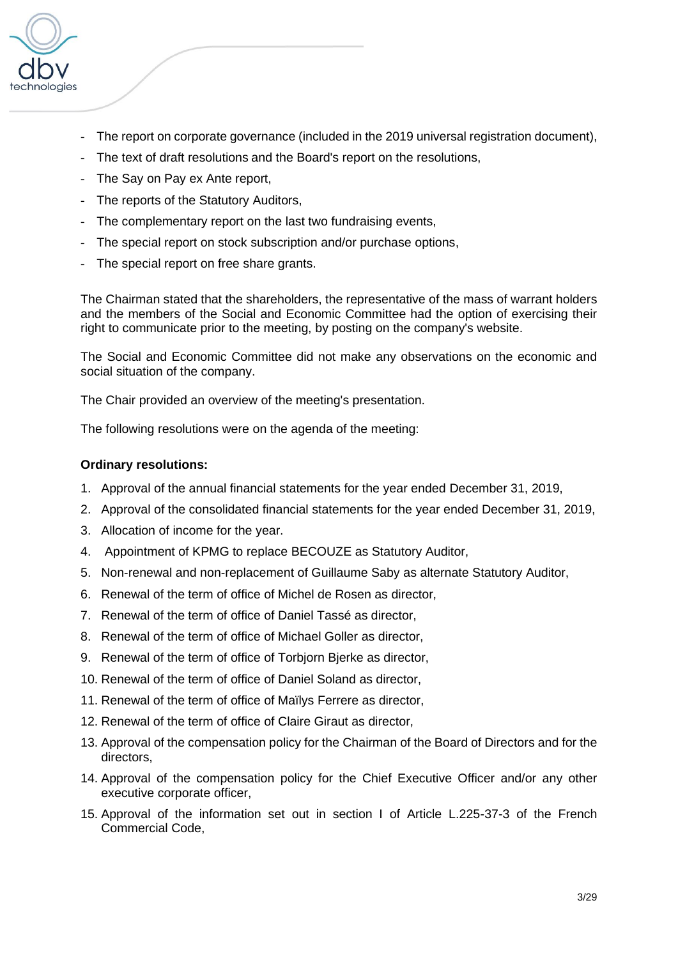

- The report on corporate governance (included in the 2019 universal registration document),
- The text of draft resolutions and the Board's report on the resolutions,
- The Say on Pay ex Ante report,
- The reports of the Statutory Auditors,
- The complementary report on the last two fundraising events,
- The special report on stock subscription and/or purchase options,
- The special report on free share grants.

The Chairman stated that the shareholders, the representative of the mass of warrant holders and the members of the Social and Economic Committee had the option of exercising their right to communicate prior to the meeting, by posting on the company's website.

The Social and Economic Committee did not make any observations on the economic and social situation of the company.

The Chair provided an overview of the meeting's presentation.

The following resolutions were on the agenda of the meeting:

### **Ordinary resolutions:**

- 1. Approval of the annual financial statements for the year ended December 31, 2019,
- 2. Approval of the consolidated financial statements for the year ended December 31, 2019,
- 3. Allocation of income for the year.
- 4. Appointment of KPMG to replace BECOUZE as Statutory Auditor,
- 5. Non-renewal and non-replacement of Guillaume Saby as alternate Statutory Auditor,
- 6. Renewal of the term of office of Michel de Rosen as director,
- 7. Renewal of the term of office of Daniel Tassé as director,
- 8. Renewal of the term of office of Michael Goller as director,
- 9. Renewal of the term of office of Torbjorn Bjerke as director,
- 10. Renewal of the term of office of Daniel Soland as director,
- 11. Renewal of the term of office of Maïlys Ferrere as director,
- 12. Renewal of the term of office of Claire Giraut as director,
- 13. Approval of the compensation policy for the Chairman of the Board of Directors and for the directors,
- 14. Approval of the compensation policy for the Chief Executive Officer and/or any other executive corporate officer,
- 15. Approval of the information set out in section I of Article L.225-37-3 of the French Commercial Code,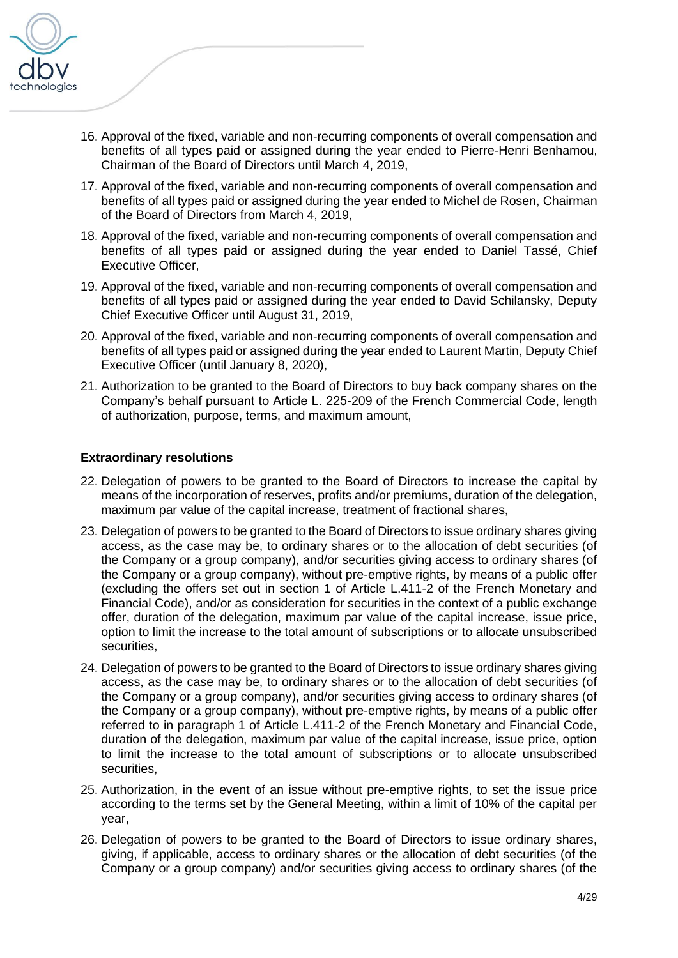

- 16. Approval of the fixed, variable and non-recurring components of overall compensation and benefits of all types paid or assigned during the year ended to Pierre-Henri Benhamou, Chairman of the Board of Directors until March 4, 2019,
- 17. Approval of the fixed, variable and non-recurring components of overall compensation and benefits of all types paid or assigned during the year ended to Michel de Rosen, Chairman of the Board of Directors from March 4, 2019,
- 18. Approval of the fixed, variable and non-recurring components of overall compensation and benefits of all types paid or assigned during the year ended to Daniel Tassé, Chief Executive Officer,
- 19. Approval of the fixed, variable and non-recurring components of overall compensation and benefits of all types paid or assigned during the year ended to David Schilansky, Deputy Chief Executive Officer until August 31, 2019,
- 20. Approval of the fixed, variable and non-recurring components of overall compensation and benefits of all types paid or assigned during the year ended to Laurent Martin, Deputy Chief Executive Officer (until January 8, 2020),
- 21. Authorization to be granted to the Board of Directors to buy back company shares on the Company's behalf pursuant to Article L. 225-209 of the French Commercial Code, length of authorization, purpose, terms, and maximum amount,

### **Extraordinary resolutions**

- 22. Delegation of powers to be granted to the Board of Directors to increase the capital by means of the incorporation of reserves, profits and/or premiums, duration of the delegation, maximum par value of the capital increase, treatment of fractional shares,
- 23. Delegation of powers to be granted to the Board of Directors to issue ordinary shares giving access, as the case may be, to ordinary shares or to the allocation of debt securities (of the Company or a group company), and/or securities giving access to ordinary shares (of the Company or a group company), without pre-emptive rights, by means of a public offer (excluding the offers set out in section 1 of Article L.411-2 of the French Monetary and Financial Code), and/or as consideration for securities in the context of a public exchange offer, duration of the delegation, maximum par value of the capital increase, issue price, option to limit the increase to the total amount of subscriptions or to allocate unsubscribed securities.
- 24. Delegation of powers to be granted to the Board of Directors to issue ordinary shares giving access, as the case may be, to ordinary shares or to the allocation of debt securities (of the Company or a group company), and/or securities giving access to ordinary shares (of the Company or a group company), without pre-emptive rights, by means of a public offer referred to in paragraph 1 of Article L.411-2 of the French Monetary and Financial Code, duration of the delegation, maximum par value of the capital increase, issue price, option to limit the increase to the total amount of subscriptions or to allocate unsubscribed securities,
- 25. Authorization, in the event of an issue without pre-emptive rights, to set the issue price according to the terms set by the General Meeting, within a limit of 10% of the capital per year,
- 26. Delegation of powers to be granted to the Board of Directors to issue ordinary shares, giving, if applicable, access to ordinary shares or the allocation of debt securities (of the Company or a group company) and/or securities giving access to ordinary shares (of the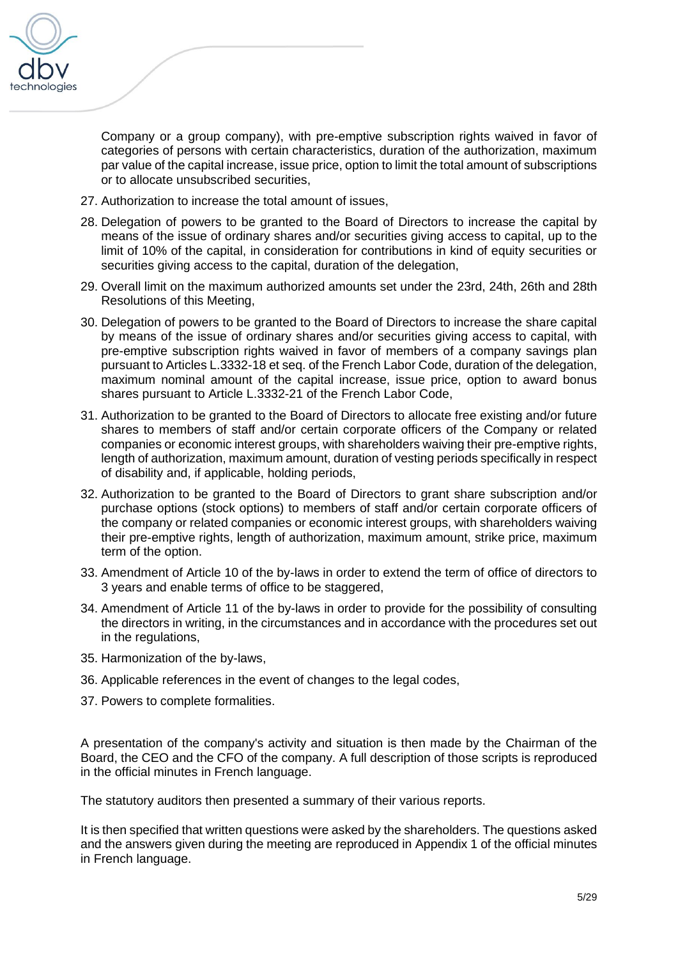

Company or a group company), with pre-emptive subscription rights waived in favor of categories of persons with certain characteristics, duration of the authorization, maximum par value of the capital increase, issue price, option to limit the total amount of subscriptions or to allocate unsubscribed securities,

- 27. Authorization to increase the total amount of issues,
- 28. Delegation of powers to be granted to the Board of Directors to increase the capital by means of the issue of ordinary shares and/or securities giving access to capital, up to the limit of 10% of the capital, in consideration for contributions in kind of equity securities or securities giving access to the capital, duration of the delegation,
- 29. Overall limit on the maximum authorized amounts set under the 23rd, 24th, 26th and 28th Resolutions of this Meeting,
- 30. Delegation of powers to be granted to the Board of Directors to increase the share capital by means of the issue of ordinary shares and/or securities giving access to capital, with pre-emptive subscription rights waived in favor of members of a company savings plan pursuant to Articles L.3332-18 et seq. of the French Labor Code, duration of the delegation, maximum nominal amount of the capital increase, issue price, option to award bonus shares pursuant to Article L.3332-21 of the French Labor Code,
- 31. Authorization to be granted to the Board of Directors to allocate free existing and/or future shares to members of staff and/or certain corporate officers of the Company or related companies or economic interest groups, with shareholders waiving their pre-emptive rights, length of authorization, maximum amount, duration of vesting periods specifically in respect of disability and, if applicable, holding periods,
- 32. Authorization to be granted to the Board of Directors to grant share subscription and/or purchase options (stock options) to members of staff and/or certain corporate officers of the company or related companies or economic interest groups, with shareholders waiving their pre-emptive rights, length of authorization, maximum amount, strike price, maximum term of the option.
- 33. Amendment of Article 10 of the by-laws in order to extend the term of office of directors to 3 years and enable terms of office to be staggered,
- 34. Amendment of Article 11 of the by-laws in order to provide for the possibility of consulting the directors in writing, in the circumstances and in accordance with the procedures set out in the regulations,
- 35. Harmonization of the by-laws,
- 36. Applicable references in the event of changes to the legal codes,
- 37. Powers to complete formalities.

A presentation of the company's activity and situation is then made by the Chairman of the Board, the CEO and the CFO of the company. A full description of those scripts is reproduced in the official minutes in French language.

The statutory auditors then presented a summary of their various reports.

It is then specified that written questions were asked by the shareholders. The questions asked and the answers given during the meeting are reproduced in Appendix 1 of the official minutes in French language.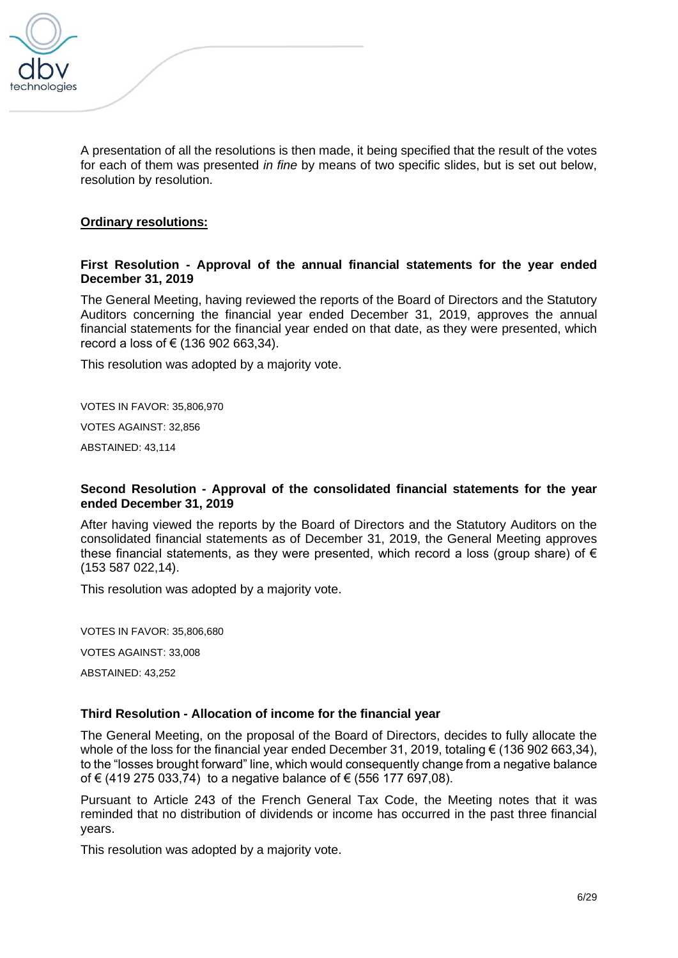

A presentation of all the resolutions is then made, it being specified that the result of the votes for each of them was presented *in fine* by means of two specific slides, but is set out below, resolution by resolution.

### **Ordinary resolutions:**

### **First Resolution - Approval of the annual financial statements for the year ended December 31, 2019**

The General Meeting, having reviewed the reports of the Board of Directors and the Statutory Auditors concerning the financial year ended December 31, 2019, approves the annual financial statements for the financial year ended on that date, as they were presented, which record a loss of € (136 902 663,34).

This resolution was adopted by a majority vote.

VOTES IN FAVOR: 35,806,970

VOTES AGAINST: 32,856

ABSTAINED: 43,114

### **Second Resolution - Approval of the consolidated financial statements for the year ended December 31, 2019**

After having viewed the reports by the Board of Directors and the Statutory Auditors on the consolidated financial statements as of December 31, 2019, the General Meeting approves these financial statements, as they were presented, which record a loss (group share) of  $\epsilon$ (153 587 022,14).

This resolution was adopted by a majority vote.

VOTES IN FAVOR: 35,806,680 VOTES AGAINST: 33,008 ABSTAINED: 43,252

### **Third Resolution - Allocation of income for the financial year**

The General Meeting, on the proposal of the Board of Directors, decides to fully allocate the whole of the loss for the financial year ended December 31, 2019, totaling  $\epsilon$  (136 902 663,34), to the "losses brought forward" line, which would consequently change from a negative balance of € (419 275 033,74) to a negative balance of € (556 177 697,08).

Pursuant to Article 243 of the French General Tax Code, the Meeting notes that it was reminded that no distribution of dividends or income has occurred in the past three financial years.

This resolution was adopted by a majority vote.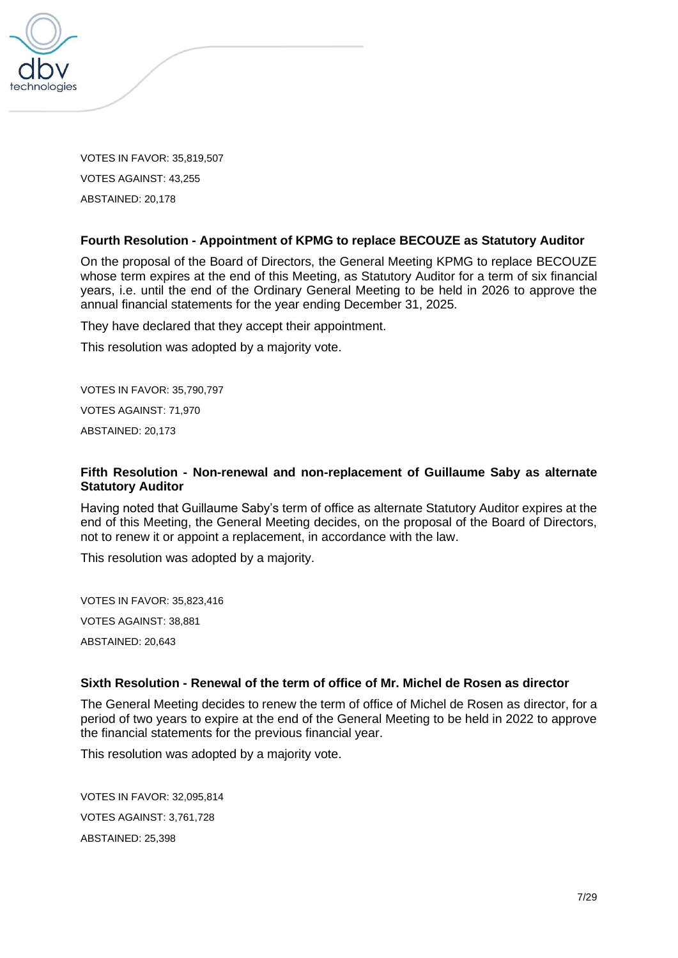

VOTES IN FAVOR: 35,819,507 VOTES AGAINST: 43,255 ABSTAINED: 20,178

### **Fourth Resolution - Appointment of KPMG to replace BECOUZE as Statutory Auditor**

On the proposal of the Board of Directors, the General Meeting KPMG to replace BECOUZE whose term expires at the end of this Meeting, as Statutory Auditor for a term of six financial years, i.e. until the end of the Ordinary General Meeting to be held in 2026 to approve the annual financial statements for the year ending December 31, 2025.

They have declared that they accept their appointment.

This resolution was adopted by a majority vote.

VOTES IN FAVOR: 35,790,797 VOTES AGAINST: 71,970

ABSTAINED: 20,173

### **Fifth Resolution - Non-renewal and non-replacement of Guillaume Saby as alternate Statutory Auditor**

Having noted that Guillaume Saby's term of office as alternate Statutory Auditor expires at the end of this Meeting, the General Meeting decides, on the proposal of the Board of Directors, not to renew it or appoint a replacement, in accordance with the law.

This resolution was adopted by a majority.

VOTES IN FAVOR: 35,823,416 VOTES AGAINST: 38,881 ABSTAINED: 20,643

### **Sixth Resolution - Renewal of the term of office of Mr. Michel de Rosen as director**

The General Meeting decides to renew the term of office of Michel de Rosen as director, for a period of two years to expire at the end of the General Meeting to be held in 2022 to approve the financial statements for the previous financial year.

This resolution was adopted by a majority vote.

VOTES IN FAVOR: 32,095,814 VOTES AGAINST: 3,761,728 ABSTAINED: 25,398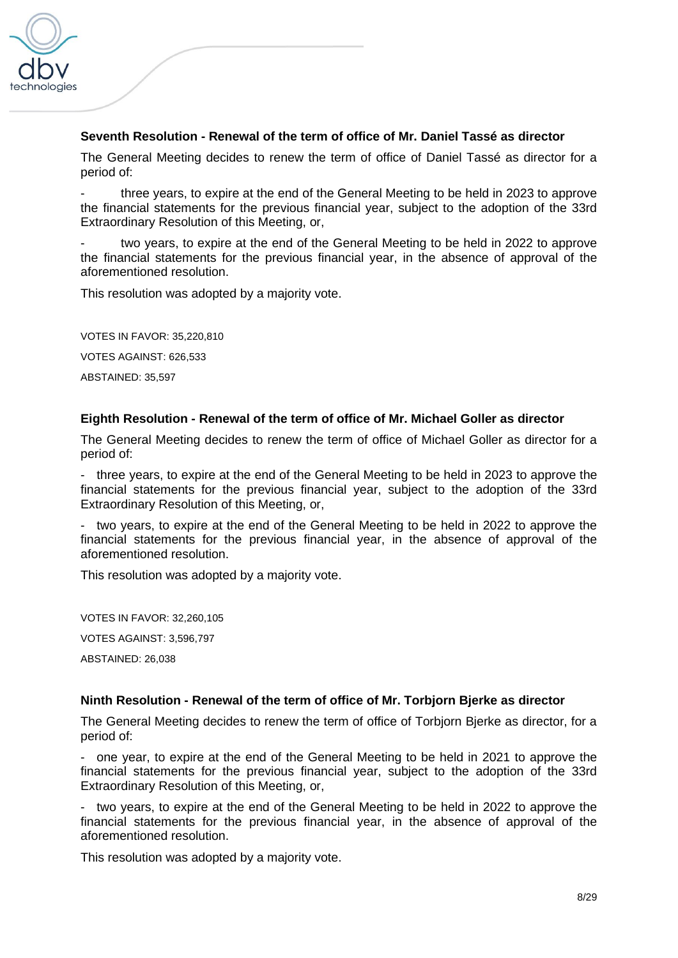

### **Seventh Resolution - Renewal of the term of office of Mr. Daniel Tassé as director**

The General Meeting decides to renew the term of office of Daniel Tassé as director for a period of:

three years, to expire at the end of the General Meeting to be held in 2023 to approve the financial statements for the previous financial year, subject to the adoption of the 33rd Extraordinary Resolution of this Meeting, or,

two years, to expire at the end of the General Meeting to be held in 2022 to approve the financial statements for the previous financial year, in the absence of approval of the aforementioned resolution.

This resolution was adopted by a majority vote.

VOTES IN FAVOR: 35,220,810

VOTES AGAINST: 626,533

ABSTAINED: 35,597

#### **Eighth Resolution - Renewal of the term of office of Mr. Michael Goller as director**

The General Meeting decides to renew the term of office of Michael Goller as director for a period of:

- three years, to expire at the end of the General Meeting to be held in 2023 to approve the financial statements for the previous financial year, subject to the adoption of the 33rd Extraordinary Resolution of this Meeting, or,

- two years, to expire at the end of the General Meeting to be held in 2022 to approve the financial statements for the previous financial year, in the absence of approval of the aforementioned resolution.

This resolution was adopted by a majority vote.

VOTES IN FAVOR: 32,260,105 VOTES AGAINST: 3,596,797 ABSTAINED: 26,038

#### **Ninth Resolution - Renewal of the term of office of Mr. Torbjorn Bjerke as director**

The General Meeting decides to renew the term of office of Torbjorn Bjerke as director, for a period of:

- one year, to expire at the end of the General Meeting to be held in 2021 to approve the financial statements for the previous financial year, subject to the adoption of the 33rd Extraordinary Resolution of this Meeting, or,

- two years, to expire at the end of the General Meeting to be held in 2022 to approve the financial statements for the previous financial year, in the absence of approval of the aforementioned resolution.

This resolution was adopted by a majority vote.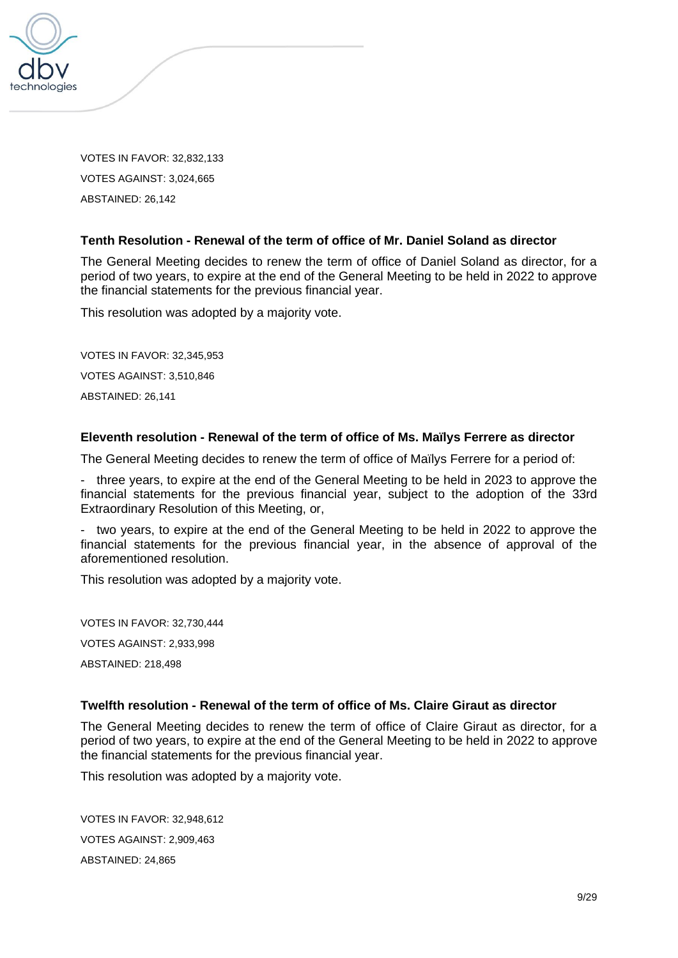

VOTES IN FAVOR: 32,832,133 VOTES AGAINST: 3,024,665 ABSTAINED: 26,142

### **Tenth Resolution - Renewal of the term of office of Mr. Daniel Soland as director**

The General Meeting decides to renew the term of office of Daniel Soland as director, for a period of two years, to expire at the end of the General Meeting to be held in 2022 to approve the financial statements for the previous financial year.

This resolution was adopted by a majority vote.

VOTES IN FAVOR: 32,345,953 VOTES AGAINST: 3,510,846 ABSTAINED: 26,141

## **Eleventh resolution - Renewal of the term of office of Ms. Maïlys Ferrere as director**

The General Meeting decides to renew the term of office of Maïlys Ferrere for a period of:

- three years, to expire at the end of the General Meeting to be held in 2023 to approve the financial statements for the previous financial year, subject to the adoption of the 33rd Extraordinary Resolution of this Meeting, or,

- two years, to expire at the end of the General Meeting to be held in 2022 to approve the financial statements for the previous financial year, in the absence of approval of the aforementioned resolution.

This resolution was adopted by a majority vote.

VOTES IN FAVOR: 32,730,444 VOTES AGAINST: 2,933,998 ABSTAINED: 218,498

### **Twelfth resolution - Renewal of the term of office of Ms. Claire Giraut as director**

The General Meeting decides to renew the term of office of Claire Giraut as director, for a period of two years, to expire at the end of the General Meeting to be held in 2022 to approve the financial statements for the previous financial year.

This resolution was adopted by a majority vote.

VOTES IN FAVOR: 32,948,612 VOTES AGAINST: 2,909,463 ABSTAINED: 24,865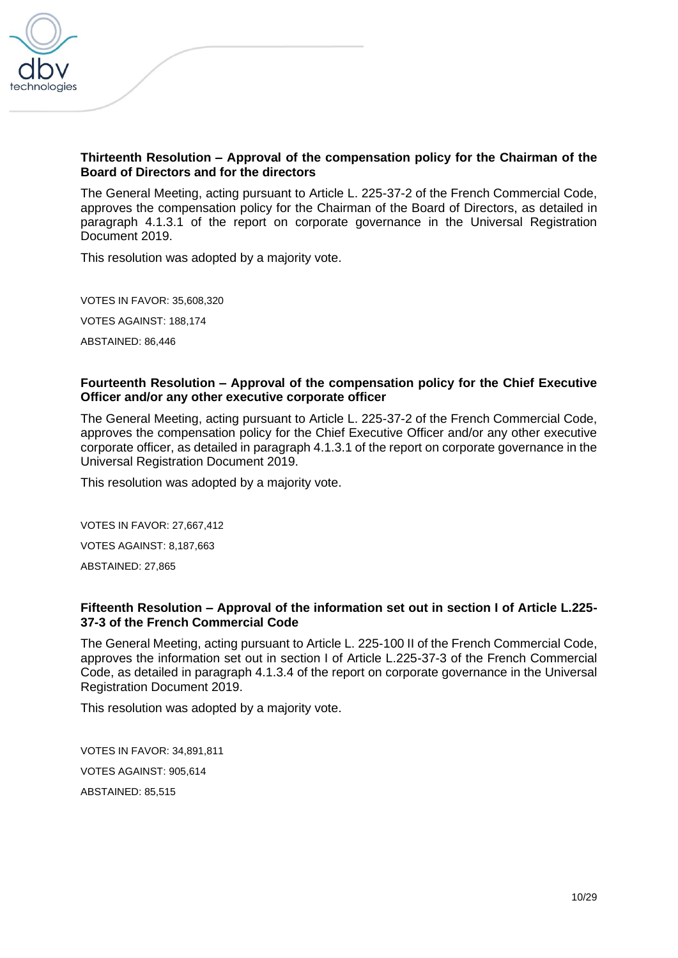

### **Thirteenth Resolution – Approval of the compensation policy for the Chairman of the Board of Directors and for the directors**

The General Meeting, acting pursuant to Article L. 225-37-2 of the French Commercial Code, approves the compensation policy for the Chairman of the Board of Directors, as detailed in paragraph 4.1.3.1 of the report on corporate governance in the Universal Registration Document 2019.

This resolution was adopted by a majority vote.

VOTES IN FAVOR: 35,608,320 VOTES AGAINST: 188,174 ABSTAINED: 86,446

#### **Fourteenth Resolution – Approval of the compensation policy for the Chief Executive Officer and/or any other executive corporate officer**

The General Meeting, acting pursuant to Article L. 225-37-2 of the French Commercial Code, approves the compensation policy for the Chief Executive Officer and/or any other executive corporate officer, as detailed in paragraph 4.1.3.1 of the report on corporate governance in the Universal Registration Document 2019.

This resolution was adopted by a majority vote.

VOTES IN FAVOR: 27,667,412

VOTES AGAINST: 8,187,663

ABSTAINED: 27,865

### **Fifteenth Resolution – Approval of the information set out in section I of Article L.225- 37-3 of the French Commercial Code**

The General Meeting, acting pursuant to Article L. 225-100 II of the French Commercial Code, approves the information set out in section I of Article L.225-37-3 of the French Commercial Code, as detailed in paragraph 4.1.3.4 of the report on corporate governance in the Universal Registration Document 2019.

This resolution was adopted by a majority vote.

VOTES IN FAVOR: 34,891,811 VOTES AGAINST: 905,614 ABSTAINED: 85,515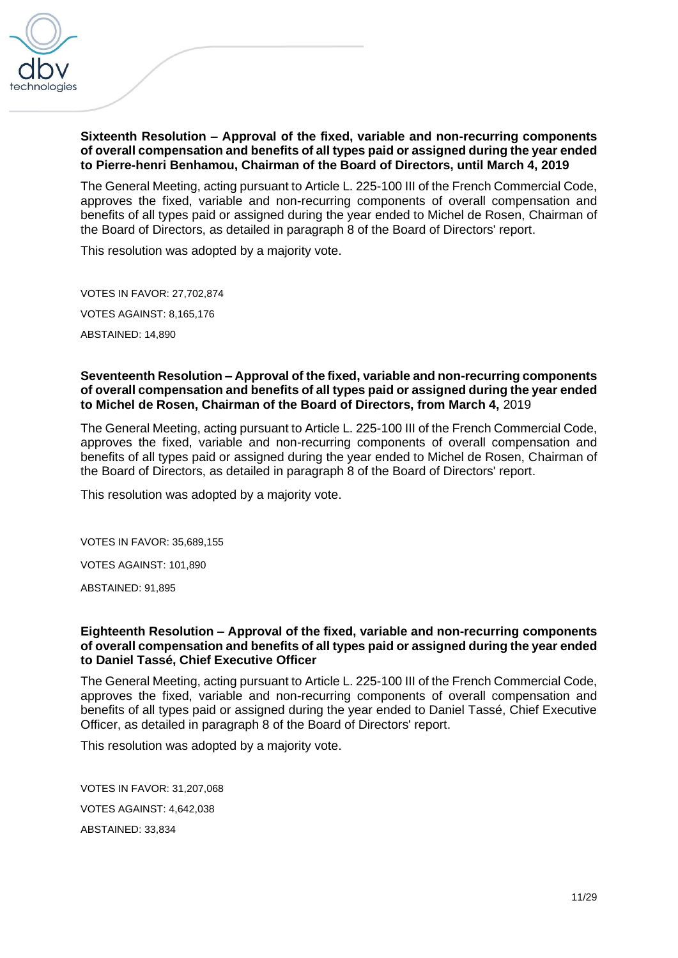

### **Sixteenth Resolution – Approval of the fixed, variable and non-recurring components of overall compensation and benefits of all types paid or assigned during the year ended to Pierre-henri Benhamou, Chairman of the Board of Directors, until March 4, 2019**

The General Meeting, acting pursuant to Article L. 225-100 III of the French Commercial Code, approves the fixed, variable and non-recurring components of overall compensation and benefits of all types paid or assigned during the year ended to Michel de Rosen, Chairman of the Board of Directors, as detailed in paragraph 8 of the Board of Directors' report.

This resolution was adopted by a majority vote.

VOTES IN FAVOR: 27,702,874 VOTES AGAINST: 8,165,176 ABSTAINED: 14,890

#### **Seventeenth Resolution – Approval of the fixed, variable and non-recurring components of overall compensation and benefits of all types paid or assigned during the year ended to Michel de Rosen, Chairman of the Board of Directors, from March 4,** 2019

The General Meeting, acting pursuant to Article L. 225-100 III of the French Commercial Code, approves the fixed, variable and non-recurring components of overall compensation and benefits of all types paid or assigned during the year ended to Michel de Rosen, Chairman of the Board of Directors, as detailed in paragraph 8 of the Board of Directors' report.

This resolution was adopted by a majority vote.

VOTES IN FAVOR: 35,689,155

VOTES AGAINST: 101,890

ABSTAINED: 91,895

#### **Eighteenth Resolution – Approval of the fixed, variable and non-recurring components of overall compensation and benefits of all types paid or assigned during the year ended to Daniel Tassé, Chief Executive Officer**

The General Meeting, acting pursuant to Article L. 225-100 III of the French Commercial Code, approves the fixed, variable and non-recurring components of overall compensation and benefits of all types paid or assigned during the year ended to Daniel Tassé, Chief Executive Officer, as detailed in paragraph 8 of the Board of Directors' report.

This resolution was adopted by a majority vote.

VOTES IN FAVOR: 31,207,068 VOTES AGAINST: 4,642,038 ABSTAINED: 33,834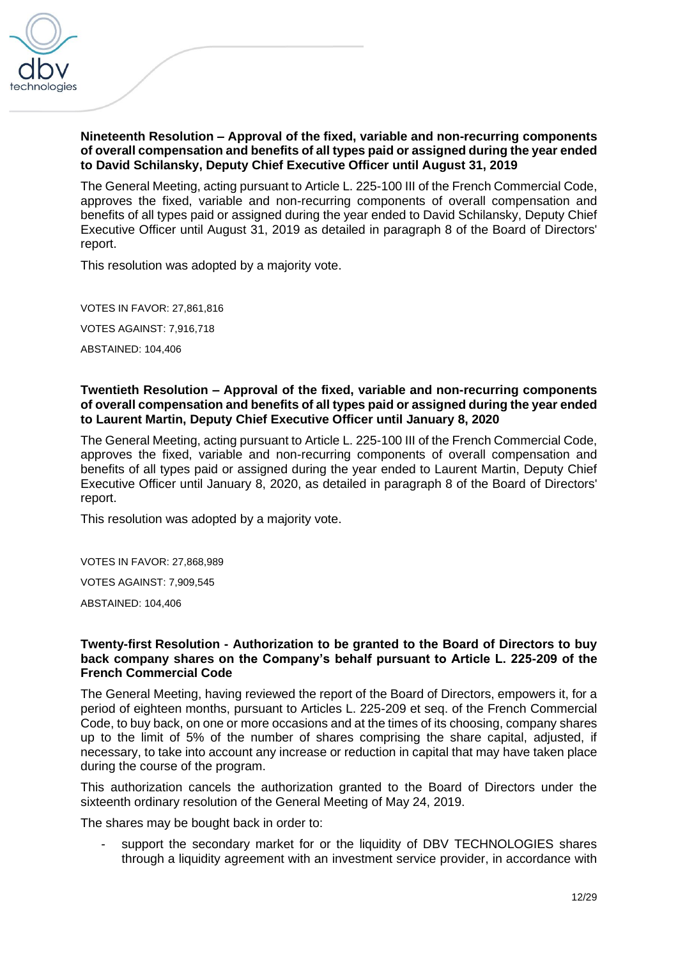

### **Nineteenth Resolution – Approval of the fixed, variable and non-recurring components of overall compensation and benefits of all types paid or assigned during the year ended to David Schilansky, Deputy Chief Executive Officer until August 31, 2019**

The General Meeting, acting pursuant to Article L. 225-100 III of the French Commercial Code, approves the fixed, variable and non-recurring components of overall compensation and benefits of all types paid or assigned during the year ended to David Schilansky, Deputy Chief Executive Officer until August 31, 2019 as detailed in paragraph 8 of the Board of Directors' report.

This resolution was adopted by a majority vote.

VOTES IN FAVOR: 27,861,816 VOTES AGAINST: 7,916,718 ABSTAINED: 104,406

### **Twentieth Resolution – Approval of the fixed, variable and non-recurring components of overall compensation and benefits of all types paid or assigned during the year ended to Laurent Martin, Deputy Chief Executive Officer until January 8, 2020**

The General Meeting, acting pursuant to Article L. 225-100 III of the French Commercial Code, approves the fixed, variable and non-recurring components of overall compensation and benefits of all types paid or assigned during the year ended to Laurent Martin, Deputy Chief Executive Officer until January 8, 2020, as detailed in paragraph 8 of the Board of Directors' report.

This resolution was adopted by a majority vote.

VOTES IN FAVOR: 27,868,989

VOTES AGAINST: 7,909,545

ABSTAINED: 104,406

### **Twenty-first Resolution - Authorization to be granted to the Board of Directors to buy back company shares on the Company's behalf pursuant to Article L. 225-209 of the French Commercial Code**

The General Meeting, having reviewed the report of the Board of Directors, empowers it, for a period of eighteen months, pursuant to Articles L. 225-209 et seq. of the French Commercial Code, to buy back, on one or more occasions and at the times of its choosing, company shares up to the limit of 5% of the number of shares comprising the share capital, adjusted, if necessary, to take into account any increase or reduction in capital that may have taken place during the course of the program.

This authorization cancels the authorization granted to the Board of Directors under the sixteenth ordinary resolution of the General Meeting of May 24, 2019.

The shares may be bought back in order to:

support the secondary market for or the liquidity of DBV TECHNOLOGIES shares through a liquidity agreement with an investment service provider, in accordance with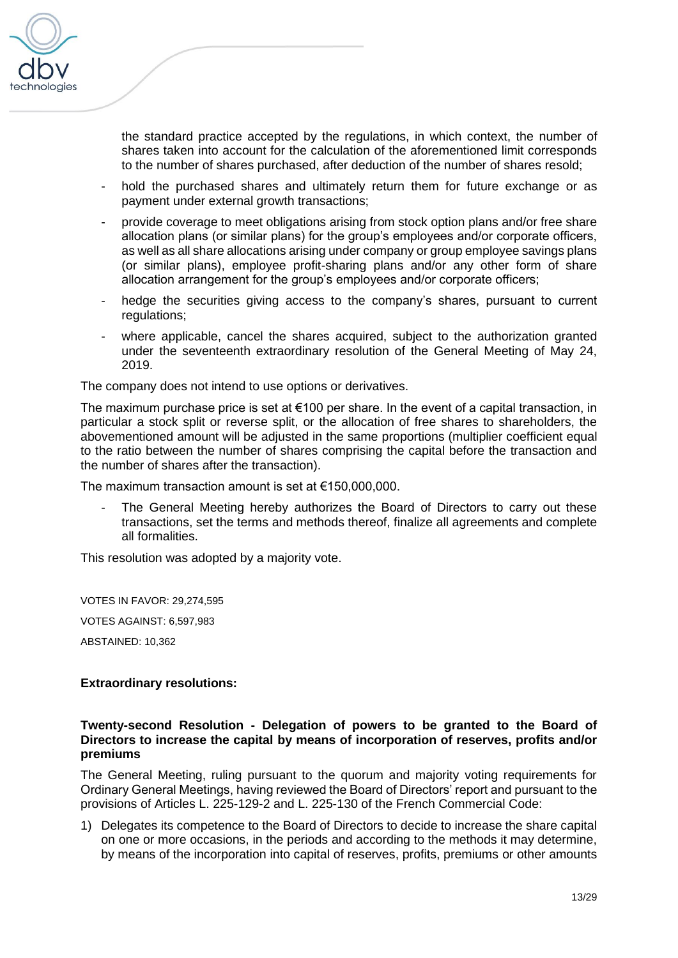

the standard practice accepted by the regulations, in which context, the number of shares taken into account for the calculation of the aforementioned limit corresponds to the number of shares purchased, after deduction of the number of shares resold;

- hold the purchased shares and ultimately return them for future exchange or as payment under external growth transactions;
- provide coverage to meet obligations arising from stock option plans and/or free share allocation plans (or similar plans) for the group's employees and/or corporate officers, as well as all share allocations arising under company or group employee savings plans (or similar plans), employee profit-sharing plans and/or any other form of share allocation arrangement for the group's employees and/or corporate officers;
- hedge the securities giving access to the company's shares, pursuant to current regulations;
- where applicable, cancel the shares acquired, subject to the authorization granted under the seventeenth extraordinary resolution of the General Meeting of May 24, 2019.

The company does not intend to use options or derivatives.

The maximum purchase price is set at  $€100$  per share. In the event of a capital transaction, in particular a stock split or reverse split, or the allocation of free shares to shareholders, the abovementioned amount will be adjusted in the same proportions (multiplier coefficient equal to the ratio between the number of shares comprising the capital before the transaction and the number of shares after the transaction).

The maximum transaction amount is set at €150,000,000.

The General Meeting hereby authorizes the Board of Directors to carry out these transactions, set the terms and methods thereof, finalize all agreements and complete all formalities.

This resolution was adopted by a majority vote.

VOTES IN FAVOR: 29,274,595 VOTES AGAINST: 6,597,983

ABSTAINED: 10,362

### **Extraordinary resolutions:**

#### **Twenty-second Resolution - Delegation of powers to be granted to the Board of Directors to increase the capital by means of incorporation of reserves, profits and/or premiums**

The General Meeting, ruling pursuant to the quorum and majority voting requirements for Ordinary General Meetings, having reviewed the Board of Directors' report and pursuant to the provisions of Articles L. 225-129-2 and L. 225-130 of the French Commercial Code:

1) Delegates its competence to the Board of Directors to decide to increase the share capital on one or more occasions, in the periods and according to the methods it may determine, by means of the incorporation into capital of reserves, profits, premiums or other amounts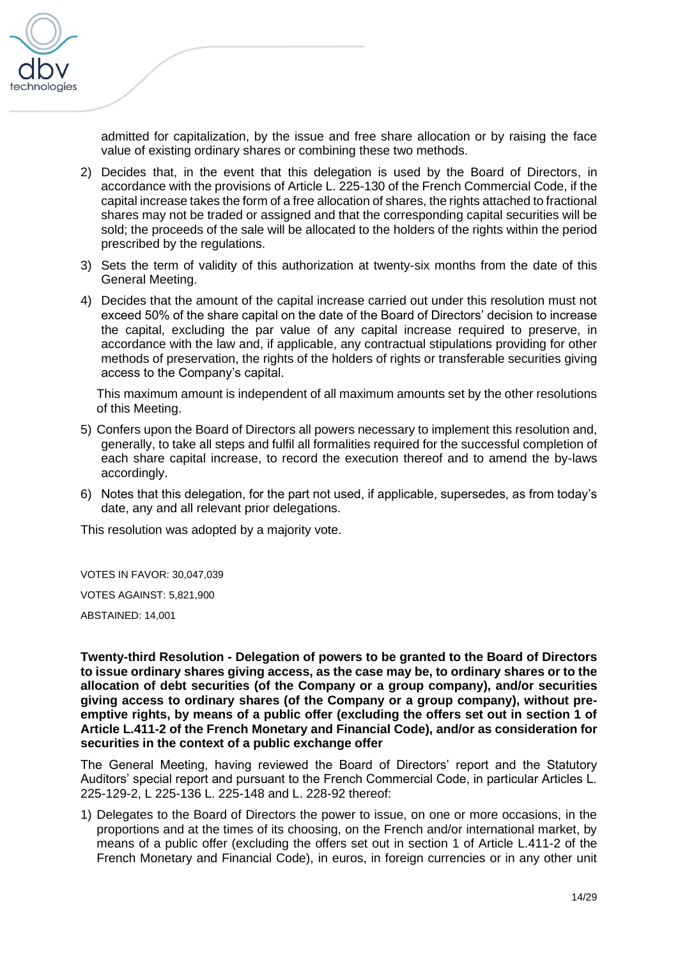

admitted for capitalization, by the issue and free share allocation or by raising the face value of existing ordinary shares or combining these two methods.

- 2) Decides that, in the event that this delegation is used by the Board of Directors, in accordance with the provisions of Article L. 225-130 of the French Commercial Code, if the capital increase takes the form of a free allocation of shares, the rights attached to fractional shares may not be traded or assigned and that the corresponding capital securities will be sold; the proceeds of the sale will be allocated to the holders of the rights within the period prescribed by the regulations.
- 3) Sets the term of validity of this authorization at twenty-six months from the date of this General Meeting.
- 4) Decides that the amount of the capital increase carried out under this resolution must not exceed 50% of the share capital on the date of the Board of Directors' decision to increase the capital, excluding the par value of any capital increase required to preserve, in accordance with the law and, if applicable, any contractual stipulations providing for other methods of preservation, the rights of the holders of rights or transferable securities giving access to the Company's capital.

This maximum amount is independent of all maximum amounts set by the other resolutions of this Meeting.

- 5) Confers upon the Board of Directors all powers necessary to implement this resolution and, generally, to take all steps and fulfil all formalities required for the successful completion of each share capital increase, to record the execution thereof and to amend the by-laws accordingly.
- 6) Notes that this delegation, for the part not used, if applicable, supersedes, as from today's date, any and all relevant prior delegations.

This resolution was adopted by a majority vote.

VOTES IN FAVOR: 30,047,039

VOTES AGAINST: 5,821,900

ABSTAINED: 14,001

**Twenty-third Resolution - Delegation of powers to be granted to the Board of Directors to issue ordinary shares giving access, as the case may be, to ordinary shares or to the allocation of debt securities (of the Company or a group company), and/or securities giving access to ordinary shares (of the Company or a group company), without preemptive rights, by means of a public offer (excluding the offers set out in section 1 of Article L.411-2 of the French Monetary and Financial Code), and/or as consideration for securities in the context of a public exchange offer**

The General Meeting, having reviewed the Board of Directors' report and the Statutory Auditors' special report and pursuant to the French Commercial Code, in particular Articles L. 225-129-2, L 225-136 L. 225-148 and L. 228-92 thereof:

1) Delegates to the Board of Directors the power to issue, on one or more occasions, in the proportions and at the times of its choosing, on the French and/or international market, by means of a public offer (excluding the offers set out in section 1 of Article L.411-2 of the French Monetary and Financial Code), in euros, in foreign currencies or in any other unit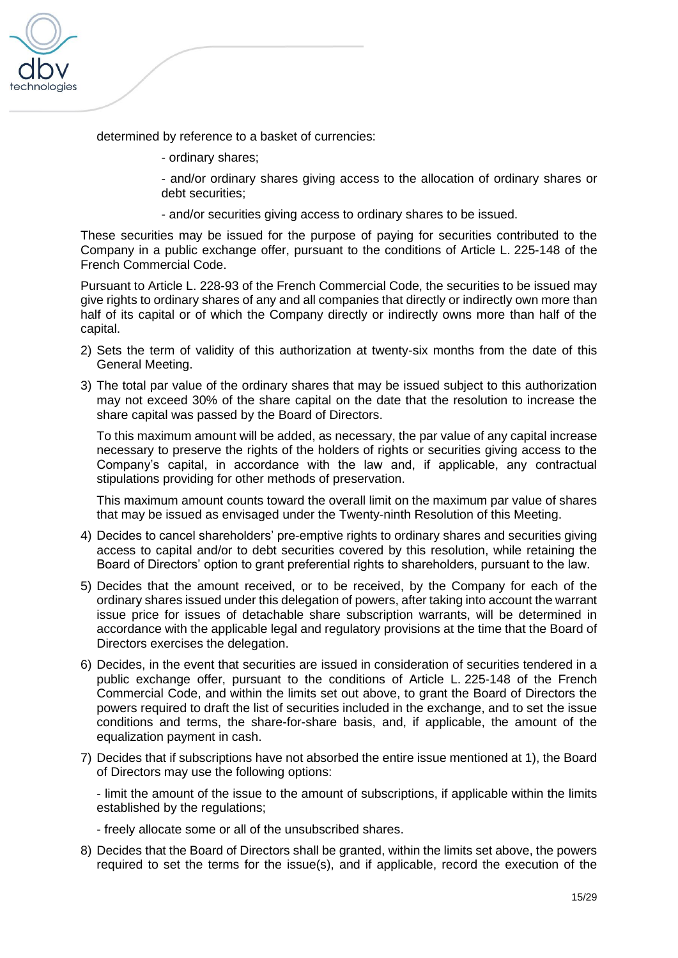

determined by reference to a basket of currencies:

- ordinary shares;

- and/or ordinary shares giving access to the allocation of ordinary shares or debt securities;

- and/or securities giving access to ordinary shares to be issued.

These securities may be issued for the purpose of paying for securities contributed to the Company in a public exchange offer, pursuant to the conditions of Article L. 225-148 of the French Commercial Code.

Pursuant to Article L. 228-93 of the French Commercial Code, the securities to be issued may give rights to ordinary shares of any and all companies that directly or indirectly own more than half of its capital or of which the Company directly or indirectly owns more than half of the capital.

- 2) Sets the term of validity of this authorization at twenty-six months from the date of this General Meeting.
- 3) The total par value of the ordinary shares that may be issued subject to this authorization may not exceed 30% of the share capital on the date that the resolution to increase the share capital was passed by the Board of Directors.

To this maximum amount will be added, as necessary, the par value of any capital increase necessary to preserve the rights of the holders of rights or securities giving access to the Company's capital, in accordance with the law and, if applicable, any contractual stipulations providing for other methods of preservation.

This maximum amount counts toward the overall limit on the maximum par value of shares that may be issued as envisaged under the Twenty-ninth Resolution of this Meeting.

- 4) Decides to cancel shareholders' pre-emptive rights to ordinary shares and securities giving access to capital and/or to debt securities covered by this resolution, while retaining the Board of Directors' option to grant preferential rights to shareholders, pursuant to the law.
- 5) Decides that the amount received, or to be received, by the Company for each of the ordinary shares issued under this delegation of powers, after taking into account the warrant issue price for issues of detachable share subscription warrants, will be determined in accordance with the applicable legal and regulatory provisions at the time that the Board of Directors exercises the delegation.
- 6) Decides, in the event that securities are issued in consideration of securities tendered in a public exchange offer, pursuant to the conditions of Article L. 225-148 of the French Commercial Code, and within the limits set out above, to grant the Board of Directors the powers required to draft the list of securities included in the exchange, and to set the issue conditions and terms, the share-for-share basis, and, if applicable, the amount of the equalization payment in cash.
- 7) Decides that if subscriptions have not absorbed the entire issue mentioned at 1), the Board of Directors may use the following options:

- limit the amount of the issue to the amount of subscriptions, if applicable within the limits established by the regulations;

- freely allocate some or all of the unsubscribed shares.

8) Decides that the Board of Directors shall be granted, within the limits set above, the powers required to set the terms for the issue(s), and if applicable, record the execution of the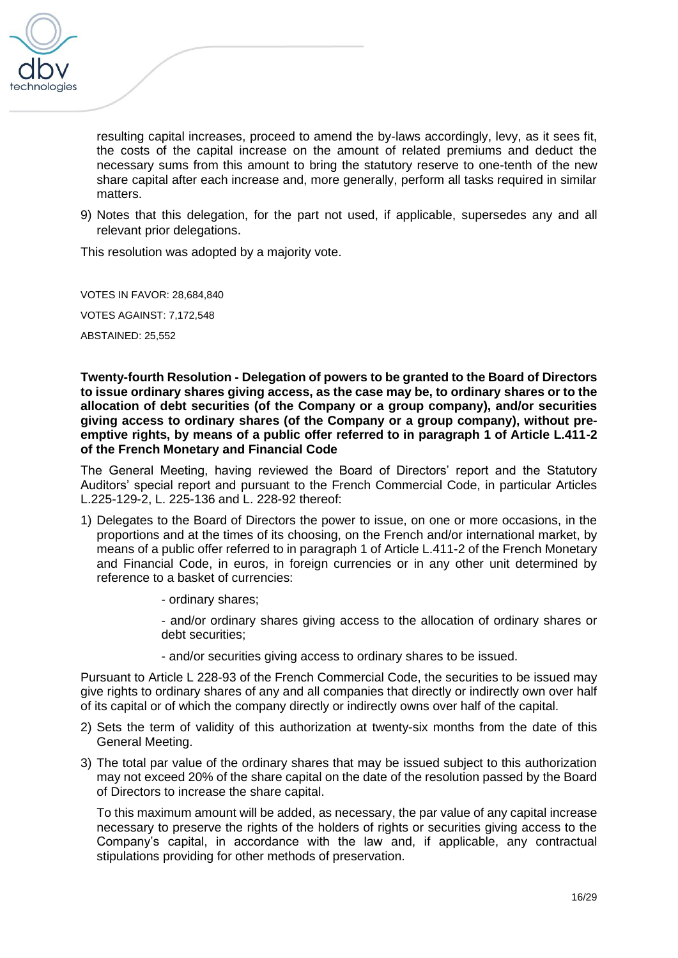

resulting capital increases, proceed to amend the by-laws accordingly, levy, as it sees fit, the costs of the capital increase on the amount of related premiums and deduct the necessary sums from this amount to bring the statutory reserve to one-tenth of the new share capital after each increase and, more generally, perform all tasks required in similar matters.

9) Notes that this delegation, for the part not used, if applicable, supersedes any and all relevant prior delegations.

This resolution was adopted by a majority vote.

VOTES IN FAVOR: 28,684,840

VOTES AGAINST: 7,172,548

ABSTAINED: 25,552

**Twenty-fourth Resolution - Delegation of powers to be granted to the Board of Directors to issue ordinary shares giving access, as the case may be, to ordinary shares or to the allocation of debt securities (of the Company or a group company), and/or securities giving access to ordinary shares (of the Company or a group company), without preemptive rights, by means of a public offer referred to in paragraph 1 of Article L.411-2 of the French Monetary and Financial Code**

The General Meeting, having reviewed the Board of Directors' report and the Statutory Auditors' special report and pursuant to the French Commercial Code, in particular Articles L.225-129-2, L. 225-136 and L. 228-92 thereof:

- 1) Delegates to the Board of Directors the power to issue, on one or more occasions, in the proportions and at the times of its choosing, on the French and/or international market, by means of a public offer referred to in paragraph 1 of Article L.411-2 of the French Monetary and Financial Code, in euros, in foreign currencies or in any other unit determined by reference to a basket of currencies:
	- ordinary shares;

- and/or ordinary shares giving access to the allocation of ordinary shares or debt securities;

- and/or securities giving access to ordinary shares to be issued.

Pursuant to Article L 228-93 of the French Commercial Code, the securities to be issued may give rights to ordinary shares of any and all companies that directly or indirectly own over half of its capital or of which the company directly or indirectly owns over half of the capital.

- 2) Sets the term of validity of this authorization at twenty-six months from the date of this General Meeting.
- 3) The total par value of the ordinary shares that may be issued subject to this authorization may not exceed 20% of the share capital on the date of the resolution passed by the Board of Directors to increase the share capital.

To this maximum amount will be added, as necessary, the par value of any capital increase necessary to preserve the rights of the holders of rights or securities giving access to the Company's capital, in accordance with the law and, if applicable, any contractual stipulations providing for other methods of preservation.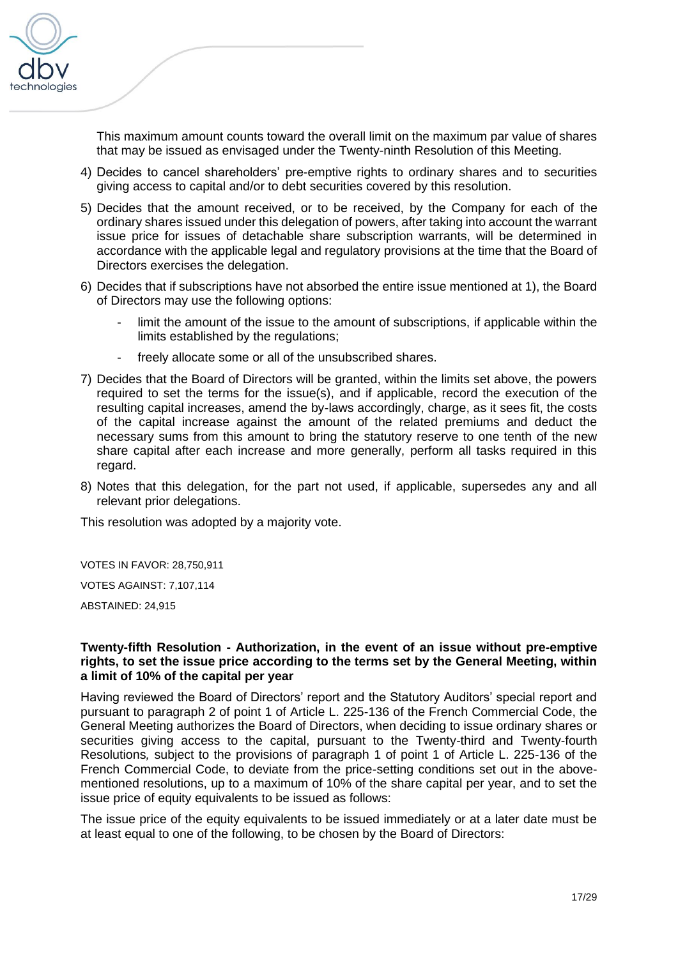

This maximum amount counts toward the overall limit on the maximum par value of shares that may be issued as envisaged under the Twenty-ninth Resolution of this Meeting.

- 4) Decides to cancel shareholders' pre-emptive rights to ordinary shares and to securities giving access to capital and/or to debt securities covered by this resolution.
- 5) Decides that the amount received, or to be received, by the Company for each of the ordinary shares issued under this delegation of powers, after taking into account the warrant issue price for issues of detachable share subscription warrants, will be determined in accordance with the applicable legal and regulatory provisions at the time that the Board of Directors exercises the delegation.
- 6) Decides that if subscriptions have not absorbed the entire issue mentioned at 1), the Board of Directors may use the following options:
	- limit the amount of the issue to the amount of subscriptions, if applicable within the limits established by the regulations;
	- freely allocate some or all of the unsubscribed shares.
- 7) Decides that the Board of Directors will be granted, within the limits set above, the powers required to set the terms for the issue(s), and if applicable, record the execution of the resulting capital increases, amend the by-laws accordingly, charge, as it sees fit, the costs of the capital increase against the amount of the related premiums and deduct the necessary sums from this amount to bring the statutory reserve to one tenth of the new share capital after each increase and more generally, perform all tasks required in this regard.
- 8) Notes that this delegation, for the part not used, if applicable, supersedes any and all relevant prior delegations.

This resolution was adopted by a majority vote.

VOTES IN FAVOR: 28,750,911

VOTES AGAINST: 7,107,114

ABSTAINED: 24,915

#### **Twenty-fifth Resolution - Authorization, in the event of an issue without pre-emptive rights, to set the issue price according to the terms set by the General Meeting, within a limit of 10% of the capital per year**

Having reviewed the Board of Directors' report and the Statutory Auditors' special report and pursuant to paragraph 2 of point 1 of Article L. 225-136 of the French Commercial Code, the General Meeting authorizes the Board of Directors, when deciding to issue ordinary shares or securities giving access to the capital, pursuant to the Twenty-third and Twenty-fourth Resolutions*,* subject to the provisions of paragraph 1 of point 1 of Article L. 225-136 of the French Commercial Code, to deviate from the price-setting conditions set out in the abovementioned resolutions, up to a maximum of 10% of the share capital per year, and to set the issue price of equity equivalents to be issued as follows:

The issue price of the equity equivalents to be issued immediately or at a later date must be at least equal to one of the following, to be chosen by the Board of Directors: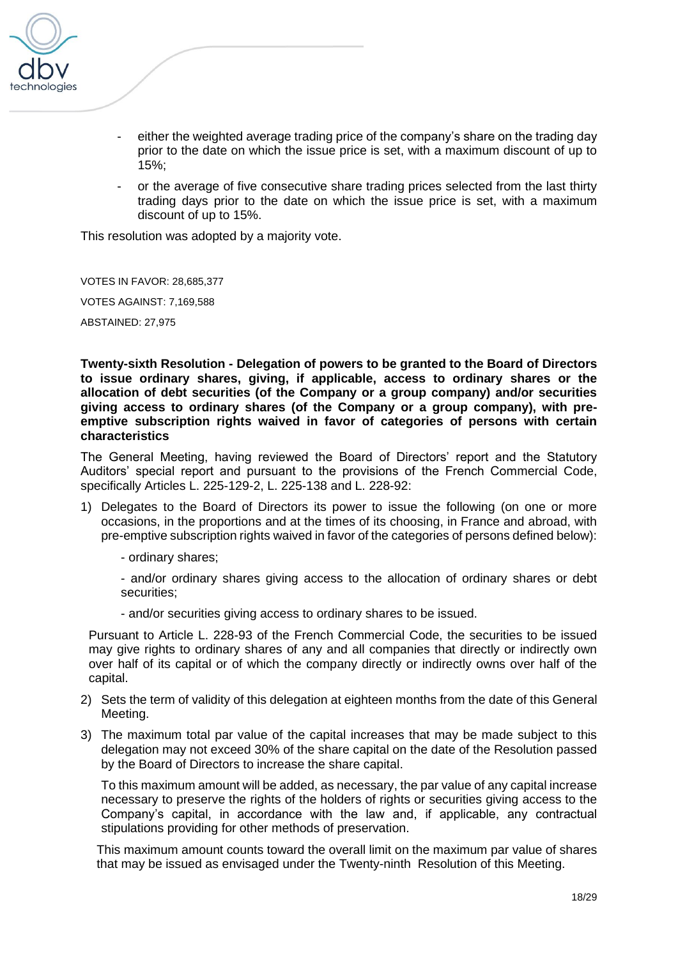

- either the weighted average trading price of the company's share on the trading day prior to the date on which the issue price is set, with a maximum discount of up to 15%;
- or the average of five consecutive share trading prices selected from the last thirty trading days prior to the date on which the issue price is set, with a maximum discount of up to 15%.

This resolution was adopted by a majority vote.

VOTES IN FAVOR: 28,685,377

VOTES AGAINST: 7,169,588

ABSTAINED: 27,975

**Twenty-sixth Resolution - Delegation of powers to be granted to the Board of Directors to issue ordinary shares, giving, if applicable, access to ordinary shares or the allocation of debt securities (of the Company or a group company) and/or securities giving access to ordinary shares (of the Company or a group company), with preemptive subscription rights waived in favor of categories of persons with certain characteristics**

The General Meeting, having reviewed the Board of Directors' report and the Statutory Auditors' special report and pursuant to the provisions of the French Commercial Code, specifically Articles L. 225-129-2, L. 225-138 and L. 228-92:

- 1) Delegates to the Board of Directors its power to issue the following (on one or more occasions, in the proportions and at the times of its choosing, in France and abroad, with pre-emptive subscription rights waived in favor of the categories of persons defined below):
	- ordinary shares;
	- and/or ordinary shares giving access to the allocation of ordinary shares or debt securities;
	- and/or securities giving access to ordinary shares to be issued.

Pursuant to Article L. 228-93 of the French Commercial Code, the securities to be issued may give rights to ordinary shares of any and all companies that directly or indirectly own over half of its capital or of which the company directly or indirectly owns over half of the capital.

- 2) Sets the term of validity of this delegation at eighteen months from the date of this General Meeting.
- 3) The maximum total par value of the capital increases that may be made subject to this delegation may not exceed 30% of the share capital on the date of the Resolution passed by the Board of Directors to increase the share capital.

To this maximum amount will be added, as necessary, the par value of any capital increase necessary to preserve the rights of the holders of rights or securities giving access to the Company's capital, in accordance with the law and, if applicable, any contractual stipulations providing for other methods of preservation.

This maximum amount counts toward the overall limit on the maximum par value of shares that may be issued as envisaged under the Twenty-ninth Resolution of this Meeting.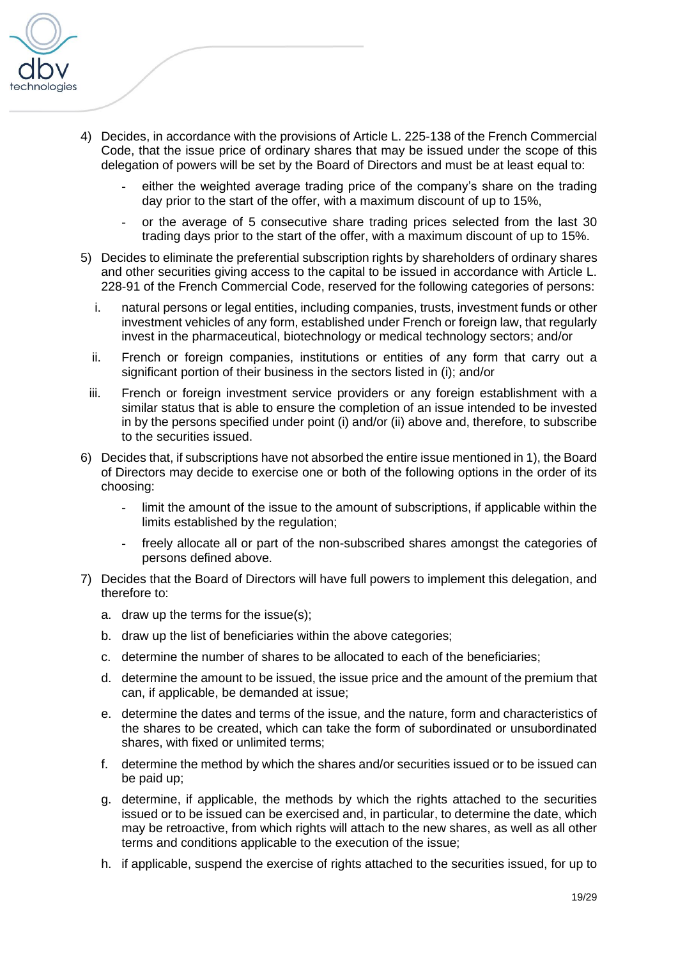

- 4) Decides, in accordance with the provisions of Article L. 225-138 of the French Commercial Code, that the issue price of ordinary shares that may be issued under the scope of this delegation of powers will be set by the Board of Directors and must be at least equal to:
	- either the weighted average trading price of the company's share on the trading day prior to the start of the offer, with a maximum discount of up to 15%,
	- or the average of 5 consecutive share trading prices selected from the last 30 trading days prior to the start of the offer, with a maximum discount of up to 15%.
- 5) Decides to eliminate the preferential subscription rights by shareholders of ordinary shares and other securities giving access to the capital to be issued in accordance with Article L. 228-91 of the French Commercial Code, reserved for the following categories of persons:
	- i. natural persons or legal entities, including companies, trusts, investment funds or other investment vehicles of any form, established under French or foreign law, that regularly invest in the pharmaceutical, biotechnology or medical technology sectors; and/or
	- ii. French or foreign companies, institutions or entities of any form that carry out a significant portion of their business in the sectors listed in (i); and/or
	- iii. French or foreign investment service providers or any foreign establishment with a similar status that is able to ensure the completion of an issue intended to be invested in by the persons specified under point (i) and/or (ii) above and, therefore, to subscribe to the securities issued.
- 6) Decides that, if subscriptions have not absorbed the entire issue mentioned in 1), the Board of Directors may decide to exercise one or both of the following options in the order of its choosing:
	- limit the amount of the issue to the amount of subscriptions, if applicable within the limits established by the regulation;
	- freely allocate all or part of the non-subscribed shares amongst the categories of persons defined above.
- 7) Decides that the Board of Directors will have full powers to implement this delegation, and therefore to:
	- a. draw up the terms for the issue(s);
	- b. draw up the list of beneficiaries within the above categories;
	- c. determine the number of shares to be allocated to each of the beneficiaries;
	- d. determine the amount to be issued, the issue price and the amount of the premium that can, if applicable, be demanded at issue;
	- e. determine the dates and terms of the issue, and the nature, form and characteristics of the shares to be created, which can take the form of subordinated or unsubordinated shares, with fixed or unlimited terms;
	- f. determine the method by which the shares and/or securities issued or to be issued can be paid up;
	- g. determine, if applicable, the methods by which the rights attached to the securities issued or to be issued can be exercised and, in particular, to determine the date, which may be retroactive, from which rights will attach to the new shares, as well as all other terms and conditions applicable to the execution of the issue;
	- h. if applicable, suspend the exercise of rights attached to the securities issued, for up to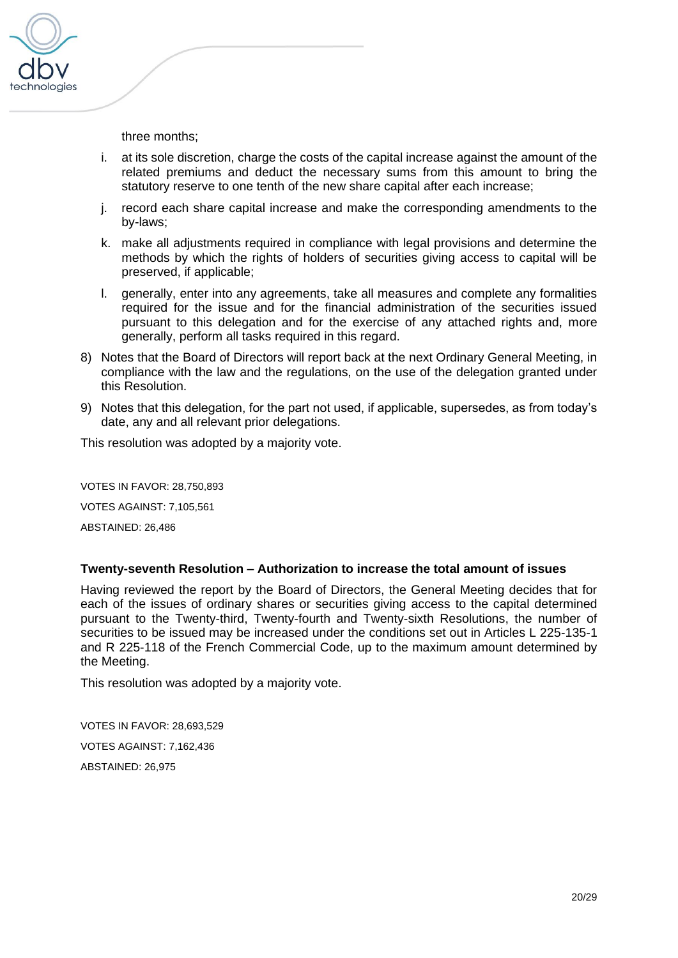

three months;

- i. at its sole discretion, charge the costs of the capital increase against the amount of the related premiums and deduct the necessary sums from this amount to bring the statutory reserve to one tenth of the new share capital after each increase;
- j. record each share capital increase and make the corresponding amendments to the by-laws;
- k. make all adjustments required in compliance with legal provisions and determine the methods by which the rights of holders of securities giving access to capital will be preserved, if applicable;
- l. generally, enter into any agreements, take all measures and complete any formalities required for the issue and for the financial administration of the securities issued pursuant to this delegation and for the exercise of any attached rights and, more generally, perform all tasks required in this regard.
- 8) Notes that the Board of Directors will report back at the next Ordinary General Meeting, in compliance with the law and the regulations, on the use of the delegation granted under this Resolution.
- 9) Notes that this delegation, for the part not used, if applicable, supersedes, as from today's date, any and all relevant prior delegations.

This resolution was adopted by a majority vote.

VOTES IN FAVOR: 28,750,893 VOTES AGAINST: 7,105,561 ABSTAINED: 26,486

#### **Twenty-seventh Resolution – Authorization to increase the total amount of issues**

Having reviewed the report by the Board of Directors, the General Meeting decides that for each of the issues of ordinary shares or securities giving access to the capital determined pursuant to the Twenty-third, Twenty-fourth and Twenty-sixth Resolutions, the number of securities to be issued may be increased under the conditions set out in Articles L 225-135-1 and R 225-118 of the French Commercial Code, up to the maximum amount determined by the Meeting.

This resolution was adopted by a majority vote.

VOTES IN FAVOR: 28,693,529 VOTES AGAINST: 7,162,436 ABSTAINED: 26,975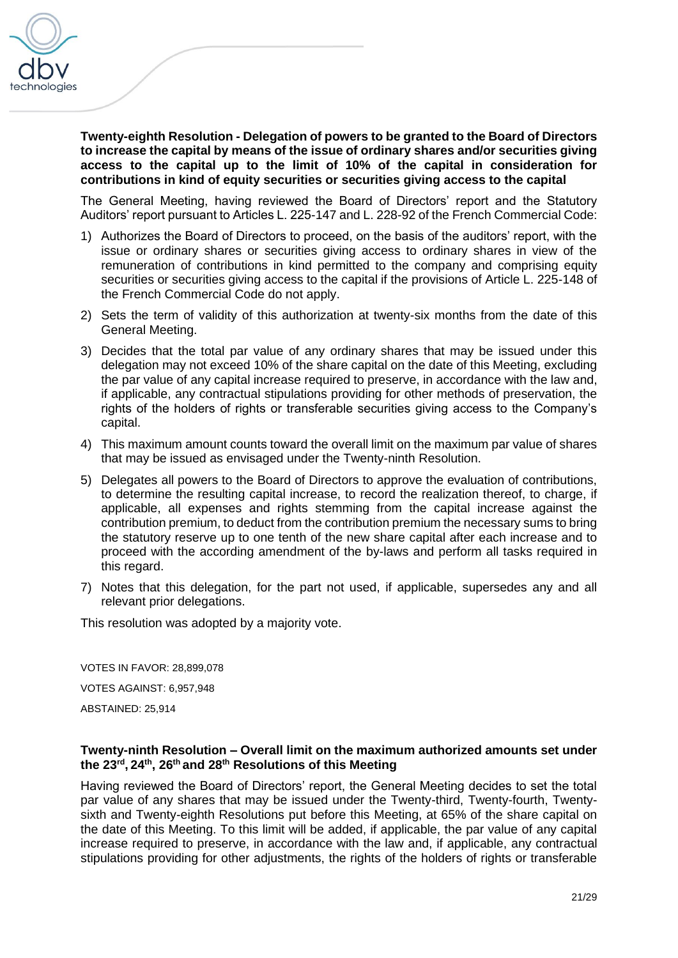

**Twenty-eighth Resolution - Delegation of powers to be granted to the Board of Directors to increase the capital by means of the issue of ordinary shares and/or securities giving access to the capital up to the limit of 10% of the capital in consideration for contributions in kind of equity securities or securities giving access to the capital**

The General Meeting, having reviewed the Board of Directors' report and the Statutory Auditors' report pursuant to Articles L. 225-147 and L. 228-92 of the French Commercial Code:

- 1) Authorizes the Board of Directors to proceed, on the basis of the auditors' report, with the issue or ordinary shares or securities giving access to ordinary shares in view of the remuneration of contributions in kind permitted to the company and comprising equity securities or securities giving access to the capital if the provisions of Article L. 225-148 of the French Commercial Code do not apply.
- 2) Sets the term of validity of this authorization at twenty-six months from the date of this General Meeting.
- 3) Decides that the total par value of any ordinary shares that may be issued under this delegation may not exceed 10% of the share capital on the date of this Meeting, excluding the par value of any capital increase required to preserve, in accordance with the law and, if applicable, any contractual stipulations providing for other methods of preservation, the rights of the holders of rights or transferable securities giving access to the Company's capital.
- 4) This maximum amount counts toward the overall limit on the maximum par value of shares that may be issued as envisaged under the Twenty-ninth Resolution.
- 5) Delegates all powers to the Board of Directors to approve the evaluation of contributions, to determine the resulting capital increase, to record the realization thereof, to charge, if applicable, all expenses and rights stemming from the capital increase against the contribution premium, to deduct from the contribution premium the necessary sums to bring the statutory reserve up to one tenth of the new share capital after each increase and to proceed with the according amendment of the by-laws and perform all tasks required in this regard.
- 7) Notes that this delegation, for the part not used, if applicable, supersedes any and all relevant prior delegations.

This resolution was adopted by a majority vote.

VOTES IN FAVOR: 28,899,078 VOTES AGAINST: 6,957,948 ABSTAINED: 25,914

#### **Twenty-ninth Resolution – Overall limit on the maximum authorized amounts set under the 23rd , 24th, 26th and 28th Resolutions of this Meeting**

Having reviewed the Board of Directors' report, the General Meeting decides to set the total par value of any shares that may be issued under the Twenty-third, Twenty-fourth, Twentysixth and Twenty-eighth Resolutions put before this Meeting, at 65% of the share capital on the date of this Meeting. To this limit will be added, if applicable, the par value of any capital increase required to preserve, in accordance with the law and, if applicable, any contractual stipulations providing for other adjustments, the rights of the holders of rights or transferable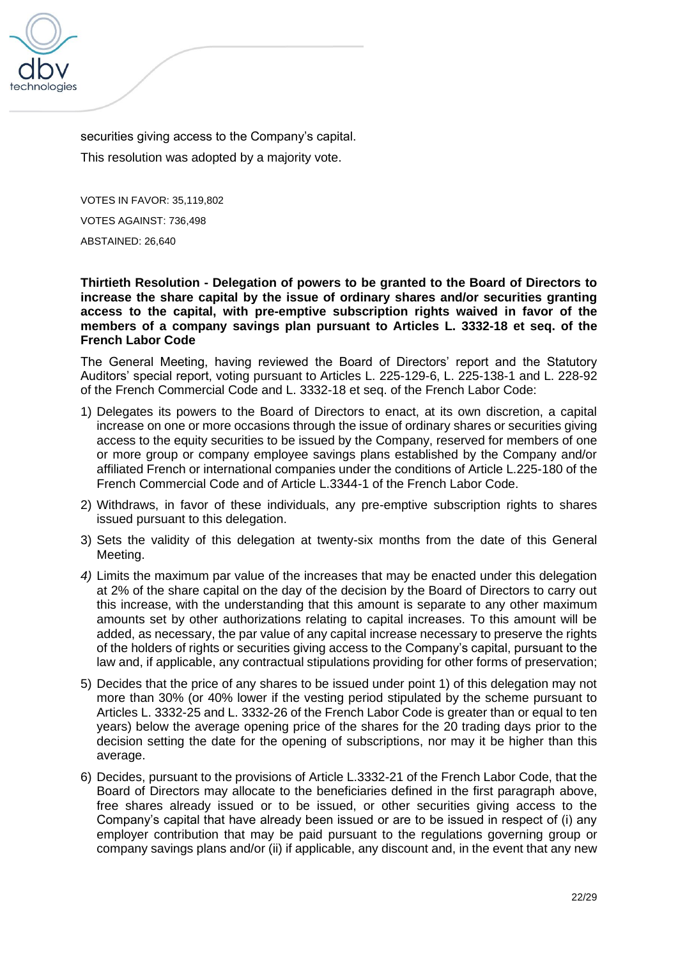

securities giving access to the Company's capital. This resolution was adopted by a majority vote.

VOTES IN FAVOR: 35,119,802 VOTES AGAINST: 736,498 ABSTAINED: 26,640

**Thirtieth Resolution - Delegation of powers to be granted to the Board of Directors to increase the share capital by the issue of ordinary shares and/or securities granting access to the capital, with pre-emptive subscription rights waived in favor of the members of a company savings plan pursuant to Articles L. 3332-18 et seq. of the French Labor Code**

The General Meeting, having reviewed the Board of Directors' report and the Statutory Auditors' special report, voting pursuant to Articles L. 225-129-6, L. 225-138-1 and L. 228-92 of the French Commercial Code and L. 3332-18 et seq. of the French Labor Code:

- 1) Delegates its powers to the Board of Directors to enact, at its own discretion, a capital increase on one or more occasions through the issue of ordinary shares or securities giving access to the equity securities to be issued by the Company, reserved for members of one or more group or company employee savings plans established by the Company and/or affiliated French or international companies under the conditions of Article L.225-180 of the French Commercial Code and of Article L.3344-1 of the French Labor Code.
- 2) Withdraws, in favor of these individuals, any pre-emptive subscription rights to shares issued pursuant to this delegation.
- 3) Sets the validity of this delegation at twenty-six months from the date of this General Meeting.
- *4)* Limits the maximum par value of the increases that may be enacted under this delegation at 2% of the share capital on the day of the decision by the Board of Directors to carry out this increase, with the understanding that this amount is separate to any other maximum amounts set by other authorizations relating to capital increases. To this amount will be added, as necessary, the par value of any capital increase necessary to preserve the rights of the holders of rights or securities giving access to the Company's capital, pursuant to the law and, if applicable, any contractual stipulations providing for other forms of preservation;
- 5) Decides that the price of any shares to be issued under point 1) of this delegation may not more than 30% (or 40% lower if the vesting period stipulated by the scheme pursuant to Articles L. 3332-25 and L. 3332-26 of the French Labor Code is greater than or equal to ten years) below the average opening price of the shares for the 20 trading days prior to the decision setting the date for the opening of subscriptions, nor may it be higher than this average.
- 6) Decides, pursuant to the provisions of Article L.3332-21 of the French Labor Code, that the Board of Directors may allocate to the beneficiaries defined in the first paragraph above, free shares already issued or to be issued, or other securities giving access to the Company's capital that have already been issued or are to be issued in respect of (i) any employer contribution that may be paid pursuant to the regulations governing group or company savings plans and/or (ii) if applicable, any discount and, in the event that any new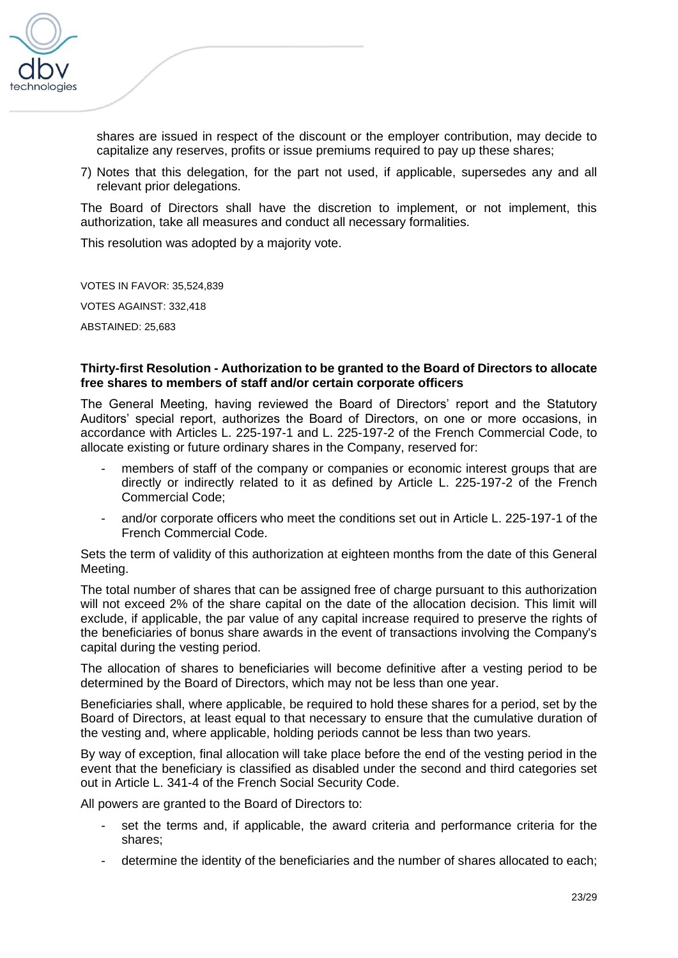

shares are issued in respect of the discount or the employer contribution, may decide to capitalize any reserves, profits or issue premiums required to pay up these shares;

7) Notes that this delegation, for the part not used, if applicable, supersedes any and all relevant prior delegations.

The Board of Directors shall have the discretion to implement, or not implement, this authorization, take all measures and conduct all necessary formalities.

This resolution was adopted by a majority vote.

VOTES IN FAVOR: 35,524,839

VOTES AGAINST: 332,418

ABSTAINED: 25,683

### **Thirty-first Resolution - Authorization to be granted to the Board of Directors to allocate free shares to members of staff and/or certain corporate officers**

The General Meeting, having reviewed the Board of Directors' report and the Statutory Auditors' special report, authorizes the Board of Directors, on one or more occasions, in accordance with Articles L. 225-197-1 and L. 225-197-2 of the French Commercial Code, to allocate existing or future ordinary shares in the Company, reserved for:

- members of staff of the company or companies or economic interest groups that are directly or indirectly related to it as defined by Article L. 225-197-2 of the French Commercial Code;
- and/or corporate officers who meet the conditions set out in Article L. 225-197-1 of the French Commercial Code.

Sets the term of validity of this authorization at eighteen months from the date of this General Meeting.

The total number of shares that can be assigned free of charge pursuant to this authorization will not exceed 2% of the share capital on the date of the allocation decision. This limit will exclude, if applicable, the par value of any capital increase required to preserve the rights of the beneficiaries of bonus share awards in the event of transactions involving the Company's capital during the vesting period.

The allocation of shares to beneficiaries will become definitive after a vesting period to be determined by the Board of Directors, which may not be less than one year.

Beneficiaries shall, where applicable, be required to hold these shares for a period, set by the Board of Directors, at least equal to that necessary to ensure that the cumulative duration of the vesting and, where applicable, holding periods cannot be less than two years.

By way of exception, final allocation will take place before the end of the vesting period in the event that the beneficiary is classified as disabled under the second and third categories set out in Article L. 341-4 of the French Social Security Code.

All powers are granted to the Board of Directors to:

- set the terms and, if applicable, the award criteria and performance criteria for the shares;
- determine the identity of the beneficiaries and the number of shares allocated to each;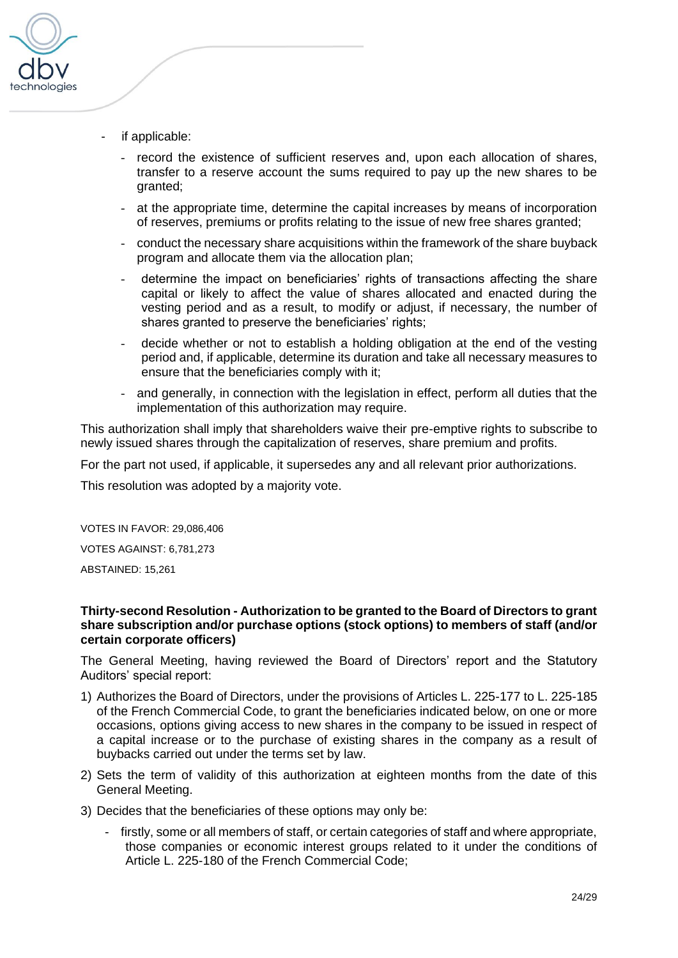

- if applicable:
	- record the existence of sufficient reserves and, upon each allocation of shares, transfer to a reserve account the sums required to pay up the new shares to be granted;
	- at the appropriate time, determine the capital increases by means of incorporation of reserves, premiums or profits relating to the issue of new free shares granted;
	- conduct the necessary share acquisitions within the framework of the share buyback program and allocate them via the allocation plan;
	- determine the impact on beneficiaries' rights of transactions affecting the share capital or likely to affect the value of shares allocated and enacted during the vesting period and as a result, to modify or adjust, if necessary, the number of shares granted to preserve the beneficiaries' rights;
	- decide whether or not to establish a holding obligation at the end of the vesting period and, if applicable, determine its duration and take all necessary measures to ensure that the beneficiaries comply with it;
	- and generally, in connection with the legislation in effect, perform all duties that the implementation of this authorization may require.

This authorization shall imply that shareholders waive their pre-emptive rights to subscribe to newly issued shares through the capitalization of reserves, share premium and profits.

For the part not used, if applicable, it supersedes any and all relevant prior authorizations.

This resolution was adopted by a majority vote.

VOTES IN FAVOR: 29,086,406 VOTES AGAINST: 6,781,273 ABSTAINED: 15,261

#### **Thirty-second Resolution - Authorization to be granted to the Board of Directors to grant share subscription and/or purchase options (stock options) to members of staff (and/or certain corporate officers)**

The General Meeting, having reviewed the Board of Directors' report and the Statutory Auditors' special report:

- 1) Authorizes the Board of Directors, under the provisions of Articles L. 225-177 to L. 225-185 of the French Commercial Code, to grant the beneficiaries indicated below, on one or more occasions, options giving access to new shares in the company to be issued in respect of a capital increase or to the purchase of existing shares in the company as a result of buybacks carried out under the terms set by law.
- 2) Sets the term of validity of this authorization at eighteen months from the date of this General Meeting.
- 3) Decides that the beneficiaries of these options may only be:
	- firstly, some or all members of staff, or certain categories of staff and where appropriate, those companies or economic interest groups related to it under the conditions of Article L. 225-180 of the French Commercial Code;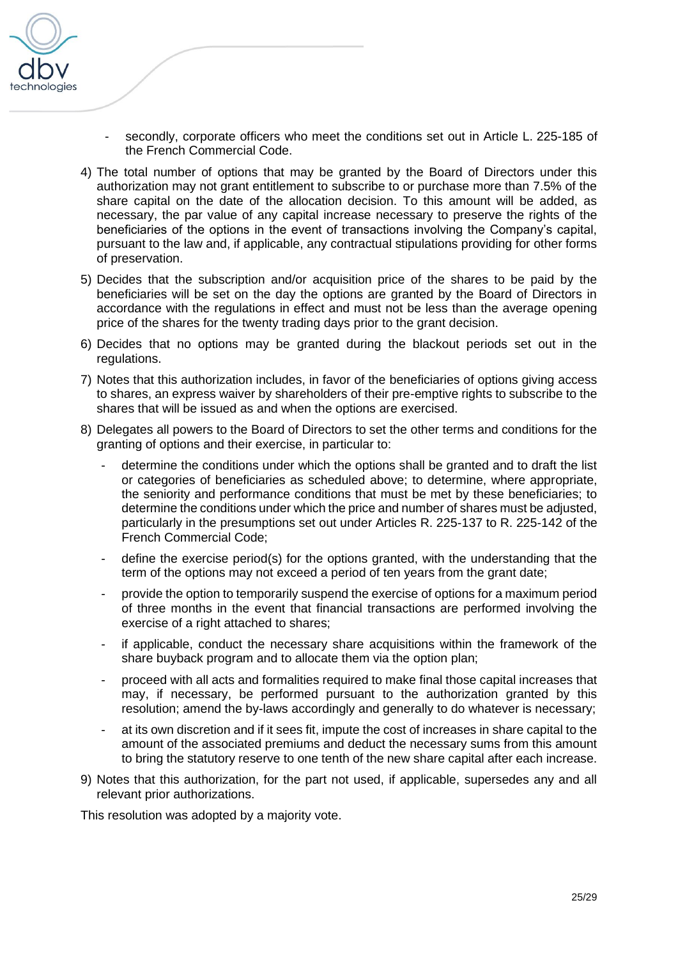

- secondly, corporate officers who meet the conditions set out in Article L. 225-185 of the French Commercial Code.
- 4) The total number of options that may be granted by the Board of Directors under this authorization may not grant entitlement to subscribe to or purchase more than 7.5% of the share capital on the date of the allocation decision. To this amount will be added, as necessary, the par value of any capital increase necessary to preserve the rights of the beneficiaries of the options in the event of transactions involving the Company's capital, pursuant to the law and, if applicable, any contractual stipulations providing for other forms of preservation.
- 5) Decides that the subscription and/or acquisition price of the shares to be paid by the beneficiaries will be set on the day the options are granted by the Board of Directors in accordance with the regulations in effect and must not be less than the average opening price of the shares for the twenty trading days prior to the grant decision.
- 6) Decides that no options may be granted during the blackout periods set out in the regulations.
- 7) Notes that this authorization includes, in favor of the beneficiaries of options giving access to shares, an express waiver by shareholders of their pre-emptive rights to subscribe to the shares that will be issued as and when the options are exercised.
- 8) Delegates all powers to the Board of Directors to set the other terms and conditions for the granting of options and their exercise, in particular to:
	- determine the conditions under which the options shall be granted and to draft the list or categories of beneficiaries as scheduled above; to determine, where appropriate, the seniority and performance conditions that must be met by these beneficiaries; to determine the conditions under which the price and number of shares must be adjusted, particularly in the presumptions set out under Articles R. 225-137 to R. 225-142 of the French Commercial Code;
	- define the exercise period(s) for the options granted, with the understanding that the term of the options may not exceed a period of ten years from the grant date;
	- provide the option to temporarily suspend the exercise of options for a maximum period of three months in the event that financial transactions are performed involving the exercise of a right attached to shares;
	- if applicable, conduct the necessary share acquisitions within the framework of the share buyback program and to allocate them via the option plan;
	- proceed with all acts and formalities required to make final those capital increases that may, if necessary, be performed pursuant to the authorization granted by this resolution; amend the by-laws accordingly and generally to do whatever is necessary;
	- at its own discretion and if it sees fit, impute the cost of increases in share capital to the amount of the associated premiums and deduct the necessary sums from this amount to bring the statutory reserve to one tenth of the new share capital after each increase.
- 9) Notes that this authorization, for the part not used, if applicable, supersedes any and all relevant prior authorizations.

This resolution was adopted by a majority vote.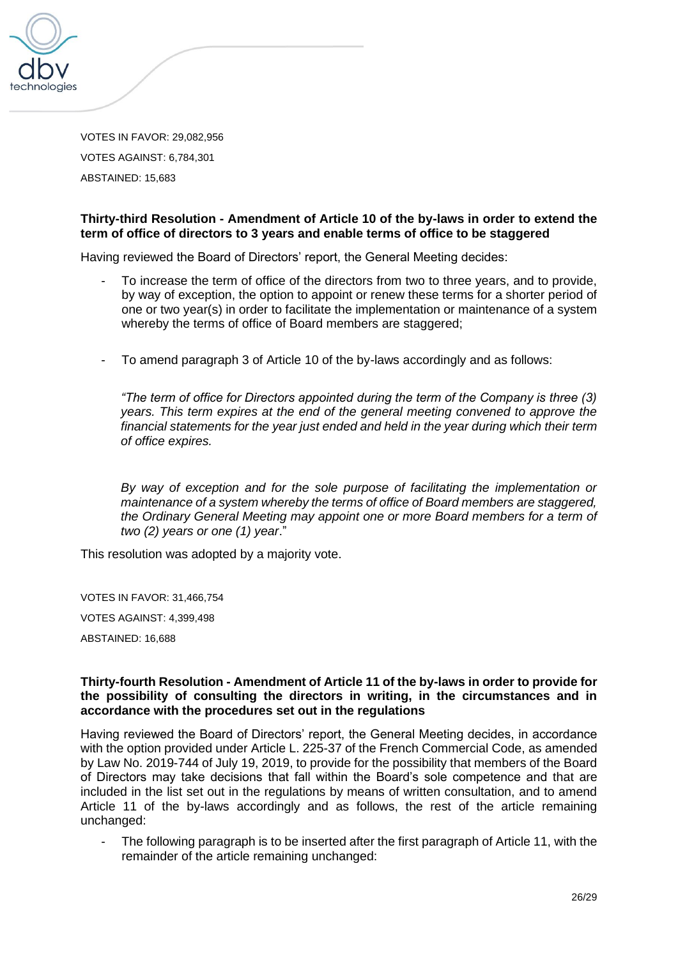

VOTES IN FAVOR: 29,082,956 VOTES AGAINST: 6,784,301 ABSTAINED: 15,683

### **Thirty-third Resolution - Amendment of Article 10 of the by-laws in order to extend the term of office of directors to 3 years and enable terms of office to be staggered**

Having reviewed the Board of Directors' report, the General Meeting decides:

- To increase the term of office of the directors from two to three years, and to provide, by way of exception, the option to appoint or renew these terms for a shorter period of one or two year(s) in order to facilitate the implementation or maintenance of a system whereby the terms of office of Board members are staggered;
- To amend paragraph 3 of Article 10 of the by-laws accordingly and as follows:

*"The term of office for Directors appointed during the term of the Company is three (3) years. This term expires at the end of the general meeting convened to approve the financial statements for the year just ended and held in the year during which their term of office expires.* 

*By way of exception and for the sole purpose of facilitating the implementation or maintenance of a system whereby the terms of office of Board members are staggered, the Ordinary General Meeting may appoint one or more Board members for a term of two (2) years or one (1) year*."

This resolution was adopted by a majority vote.

VOTES IN FAVOR: 31,466,754 VOTES AGAINST: 4,399,498 ABSTAINED: 16,688

### **Thirty-fourth Resolution - Amendment of Article 11 of the by-laws in order to provide for the possibility of consulting the directors in writing, in the circumstances and in accordance with the procedures set out in the regulations**

Having reviewed the Board of Directors' report, the General Meeting decides, in accordance with the option provided under Article L. 225-37 of the French Commercial Code, as amended by Law No. 2019-744 of July 19, 2019, to provide for the possibility that members of the Board of Directors may take decisions that fall within the Board's sole competence and that are included in the list set out in the regulations by means of written consultation, and to amend Article 11 of the by-laws accordingly and as follows, the rest of the article remaining unchanged:

The following paragraph is to be inserted after the first paragraph of Article 11, with the remainder of the article remaining unchanged: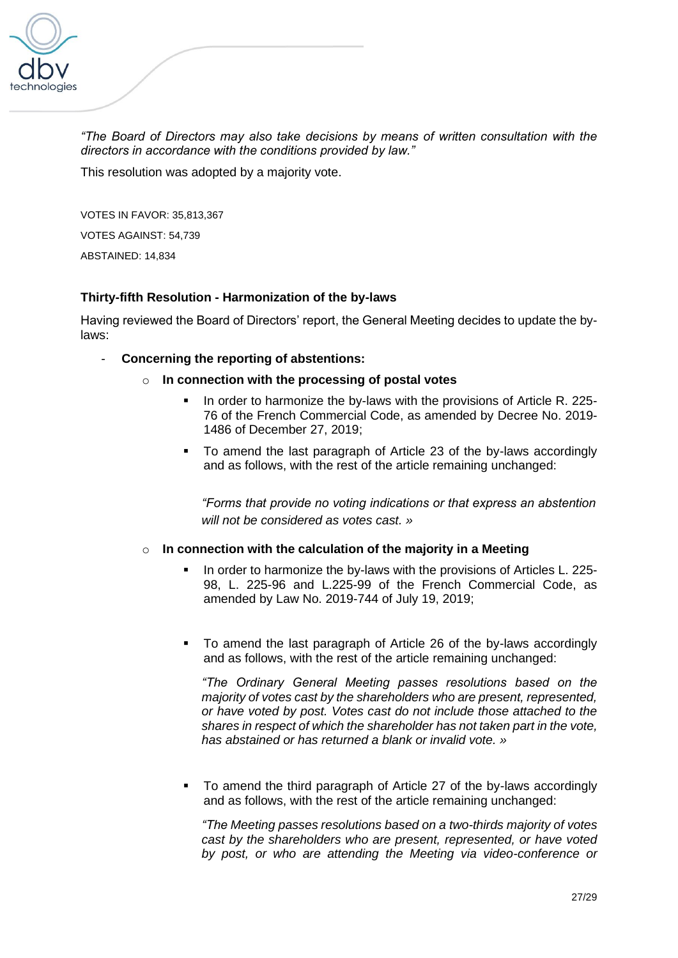

*"The Board of Directors may also take decisions by means of written consultation with the directors in accordance with the conditions provided by law."*

This resolution was adopted by a majority vote.

VOTES IN FAVOR: 35,813,367 VOTES AGAINST: 54,739 ABSTAINED: 14,834

# **Thirty-fifth Resolution - Harmonization of the by-laws**

Having reviewed the Board of Directors' report, the General Meeting decides to update the bylaws:

### - **Concerning the reporting of abstentions:**

- o **In connection with the processing of postal votes**
	- In order to harmonize the by-laws with the provisions of Article R. 225-76 of the French Commercial Code, as amended by [Decree No. 2019-](https://www.legifrance.gouv.fr/affichTexteArticle.do;jsessionid=E32CAF1152ABD0388DCB6202E712ECB7.tplgfr36s_2?cidTexte=JORFTEXT000039684764&idArticle=LEGIARTI000039788039&dateTexte=20200131&categorieLien=id#LEGIARTI000039788039) [1486 of December 27, 2019;](https://www.legifrance.gouv.fr/affichTexteArticle.do;jsessionid=E32CAF1152ABD0388DCB6202E712ECB7.tplgfr36s_2?cidTexte=JORFTEXT000039684764&idArticle=LEGIARTI000039788039&dateTexte=20200131&categorieLien=id#LEGIARTI000039788039)
	- To amend the last paragraph of Article 23 of the by-laws accordingly and as follows, with the rest of the article remaining unchanged:

*"Forms that provide no voting indications or that express an abstention will not be considered as votes cast. »* 

### o **In connection with the calculation of the majority in a Meeting**

- **In order to harmonize the by-laws with the provisions of Articles L. 225-**98, L. 225-96 and L.225-99 of the French Commercial Code, as amended by Law [No. 2019-744 of July 19, 2019;](https://www.legifrance.gouv.fr/affichTexteArticle.do;jsessionid=E32CAF1152ABD0388DCB6202E712ECB7.tplgfr36s_2?cidTexte=JORFTEXT000038792157&idArticle=LEGIARTI000038793734&dateTexte=20190721&categorieLien=id#LEGIARTI000038793734)
- To amend the last paragraph of Article 26 of the by-laws accordingly and as follows, with the rest of the article remaining unchanged:

*"The Ordinary General Meeting passes resolutions based on the majority of votes cast by the shareholders who are present, represented, or have voted by post. Votes cast do not include those attached to the shares in respect of which the shareholder has not taken part in the vote, has abstained or has returned a blank or invalid vote. »*

■ To amend the third paragraph of Article 27 of the by-laws accordingly and as follows, with the rest of the article remaining unchanged:

*"The Meeting passes resolutions based on a two-thirds majority of votes cast by the shareholders who are present, represented, or have voted by post, or who are attending the Meeting via video-conference or*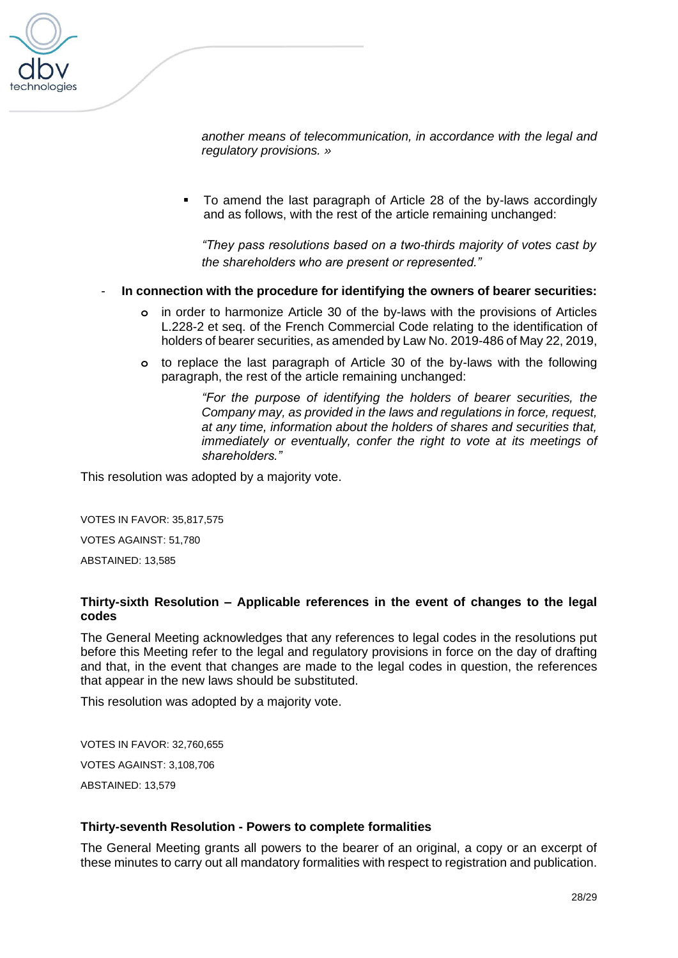

*another means of telecommunication, in accordance with the legal and regulatory provisions. »*

▪ To amend the last paragraph of Article 28 of the by-laws accordingly and as follows, with the rest of the article remaining unchanged:

*"They pass resolutions based on a two-thirds majority of votes cast by the shareholders who are present or represented."*

#### - **In connection with the procedure for identifying the owners of bearer securities:**

- **o** in order to harmonize Article 30 of the by-laws with the provisions of Articles L.228-2 et seq. of the French Commercial Code relating to the identification of holders of bearer securities, as amended by Law [No. 2019-486 of May 22, 2019,](https://www.legifrance.gouv.fr/affichTexteArticle.do;jsessionid=53973EF18C93AE472B50F58F5F3B433A.tplgfr25s_2?cidTexte=JORFTEXT000038496102&idArticle=LEGIARTI000038497541&dateTexte=20190610&categorieLien=id#LEGIARTI000038497541)
- **o** to replace the last paragraph of Article 30 of the by-laws with the following paragraph, the rest of the article remaining unchanged:

*"For the purpose of identifying the holders of bearer securities, the Company may, as provided in the laws and regulations in force, request, at any time, information about the holders of shares and securities that, immediately or eventually, confer the right to vote at its meetings of shareholders."*

This resolution was adopted by a majority vote.

VOTES IN FAVOR: 35,817,575

VOTES AGAINST: 51,780

ABSTAINED: 13,585

### **Thirty-sixth Resolution – Applicable references in the event of changes to the legal codes**

The General Meeting acknowledges that any references to legal codes in the resolutions put before this Meeting refer to the legal and regulatory provisions in force on the day of drafting and that, in the event that changes are made to the legal codes in question, the references that appear in the new laws should be substituted.

This resolution was adopted by a majority vote.

VOTES IN FAVOR: 32,760,655 VOTES AGAINST: 3,108,706 ABSTAINED: 13,579

#### **Thirty-seventh Resolution - Powers to complete formalities**

The General Meeting grants all powers to the bearer of an original, a copy or an excerpt of these minutes to carry out all mandatory formalities with respect to registration and publication.